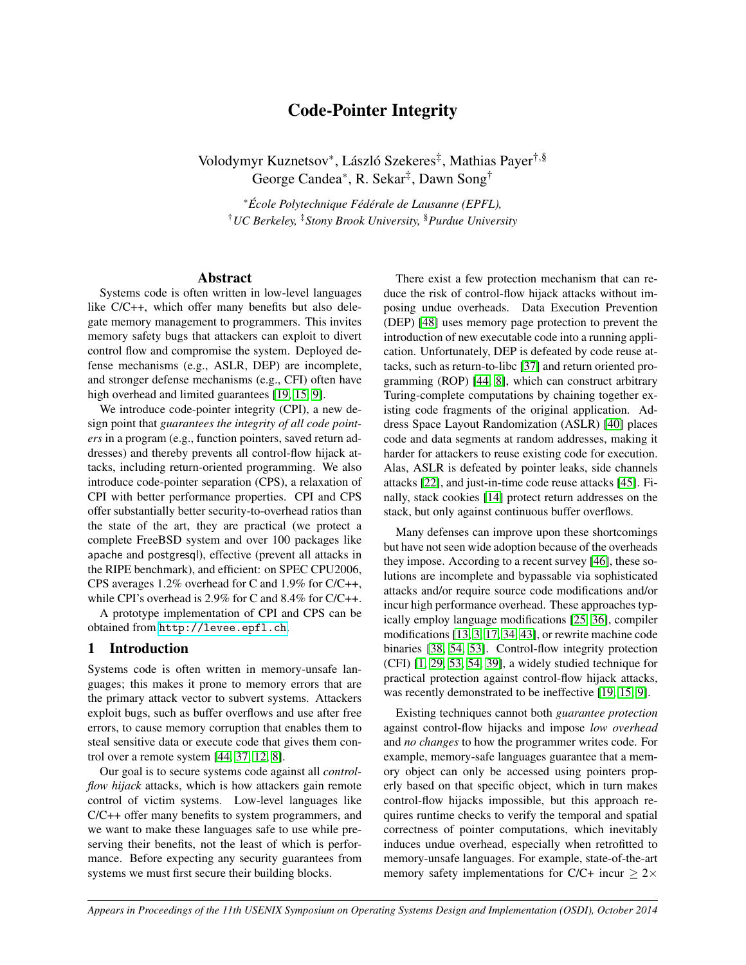# Code-Pointer Integrity

Volodymyr Kuznetsov\*, László Szekeres<sup>‡</sup>, Mathias Payer<sup>†,§</sup> George Candea<sup>∗</sup> , R. Sekar‡ , Dawn Song†

<sup>∗</sup>*Ecole Polytechnique F ´ ed´ erale de Lausanne (EPFL), ´* †*UC Berkeley,* ‡*Stony Brook University,* §*Purdue University*

### Abstract

Systems code is often written in low-level languages like C/C++, which offer many benefits but also delegate memory management to programmers. This invites memory safety bugs that attackers can exploit to divert control flow and compromise the system. Deployed defense mechanisms (e.g., ASLR, DEP) are incomplete, and stronger defense mechanisms (e.g., CFI) often have high overhead and limited guarantees [\[19,](#page-14-0) [15,](#page-14-1) [9\]](#page-14-2).

We introduce code-pointer integrity (CPI), a new design point that *guarantees the integrity of all code pointers* in a program (e.g., function pointers, saved return addresses) and thereby prevents all control-flow hijack attacks, including return-oriented programming. We also introduce code-pointer separation (CPS), a relaxation of CPI with better performance properties. CPI and CPS offer substantially better security-to-overhead ratios than the state of the art, they are practical (we protect a complete FreeBSD system and over 100 packages like apache and postgresql), effective (prevent all attacks in the RIPE benchmark), and efficient: on SPEC CPU2006, CPS averages 1.2% overhead for C and 1.9% for C/C++, while CPI's overhead is 2.9% for C and 8.4% for C/C++.

A prototype implementation of CPI and CPS can be obtained from <http://levee.epfl.ch>.

## 1 Introduction

Systems code is often written in memory-unsafe languages; this makes it prone to memory errors that are the primary attack vector to subvert systems. Attackers exploit bugs, such as buffer overflows and use after free errors, to cause memory corruption that enables them to steal sensitive data or execute code that gives them control over a remote system [\[44,](#page-15-0) [37,](#page-15-1) [12,](#page-14-3) [8\]](#page-14-4).

Our goal is to secure systems code against all *controlflow hijack* attacks, which is how attackers gain remote control of victim systems. Low-level languages like C/C++ offer many benefits to system programmers, and we want to make these languages safe to use while preserving their benefits, not the least of which is performance. Before expecting any security guarantees from systems we must first secure their building blocks.

There exist a few protection mechanism that can reduce the risk of control-flow hijack attacks without imposing undue overheads. Data Execution Prevention (DEP) [\[48\]](#page-15-2) uses memory page protection to prevent the introduction of new executable code into a running application. Unfortunately, DEP is defeated by code reuse attacks, such as return-to-libc [\[37\]](#page-15-1) and return oriented programming (ROP) [\[44,](#page-15-0) [8\]](#page-14-4), which can construct arbitrary Turing-complete computations by chaining together existing code fragments of the original application. Address Space Layout Randomization (ASLR) [\[40\]](#page-15-3) places code and data segments at random addresses, making it harder for attackers to reuse existing code for execution. Alas, ASLR is defeated by pointer leaks, side channels attacks [\[22\]](#page-14-5), and just-in-time code reuse attacks [\[45\]](#page-15-4). Finally, stack cookies [\[14\]](#page-14-6) protect return addresses on the stack, but only against continuous buffer overflows.

Many defenses can improve upon these shortcomings but have not seen wide adoption because of the overheads they impose. According to a recent survey [\[46\]](#page-15-5), these solutions are incomplete and bypassable via sophisticated attacks and/or require source code modifications and/or incur high performance overhead. These approaches typically employ language modifications [\[25,](#page-15-6) [36\]](#page-15-7), compiler modifications [\[13,](#page-14-7) [3,](#page-14-8) [17,](#page-14-9) [34,](#page-15-8) [43\]](#page-15-9), or rewrite machine code binaries [\[38,](#page-15-10) [54,](#page-16-0) [53\]](#page-16-1). Control-flow integrity protection (CFI) [\[1,](#page-14-10) [29,](#page-15-11) [53,](#page-16-1) [54,](#page-16-0) [39\]](#page-15-12), a widely studied technique for practical protection against control-flow hijack attacks, was recently demonstrated to be ineffective [\[19,](#page-14-0) [15,](#page-14-1) [9\]](#page-14-2).

Existing techniques cannot both *guarantee protection* against control-flow hijacks and impose *low overhead* and *no changes* to how the programmer writes code. For example, memory-safe languages guarantee that a memory object can only be accessed using pointers properly based on that specific object, which in turn makes control-flow hijacks impossible, but this approach requires runtime checks to verify the temporal and spatial correctness of pointer computations, which inevitably induces undue overhead, especially when retrofitted to memory-unsafe languages. For example, state-of-the-art memory safety implementations for C/C+ incur  $> 2 \times$ 

*Appears in Proceedings of the 11th USENIX Symposium on Operating Systems Design and Implementation (OSDI), October 2014*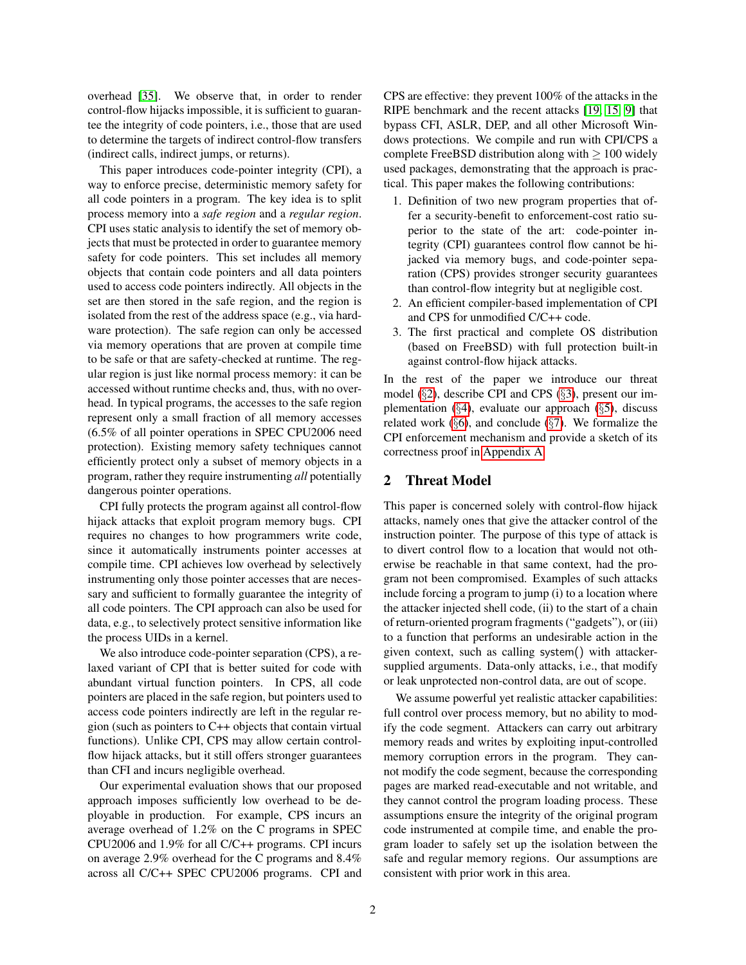overhead [\[35\]](#page-15-13). We observe that, in order to render control-flow hijacks impossible, it is sufficient to guarantee the integrity of code pointers, i.e., those that are used to determine the targets of indirect control-flow transfers (indirect calls, indirect jumps, or returns).

This paper introduces code-pointer integrity (CPI), a way to enforce precise, deterministic memory safety for all code pointers in a program. The key idea is to split process memory into a *safe region* and a *regular region*. CPI uses static analysis to identify the set of memory objects that must be protected in order to guarantee memory safety for code pointers. This set includes all memory objects that contain code pointers and all data pointers used to access code pointers indirectly. All objects in the set are then stored in the safe region, and the region is isolated from the rest of the address space (e.g., via hardware protection). The safe region can only be accessed via memory operations that are proven at compile time to be safe or that are safety-checked at runtime. The regular region is just like normal process memory: it can be accessed without runtime checks and, thus, with no overhead. In typical programs, the accesses to the safe region represent only a small fraction of all memory accesses (6.5% of all pointer operations in SPEC CPU2006 need protection). Existing memory safety techniques cannot efficiently protect only a subset of memory objects in a program, rather they require instrumenting *all* potentially dangerous pointer operations.

CPI fully protects the program against all control-flow hijack attacks that exploit program memory bugs. CPI requires no changes to how programmers write code, since it automatically instruments pointer accesses at compile time. CPI achieves low overhead by selectively instrumenting only those pointer accesses that are necessary and sufficient to formally guarantee the integrity of all code pointers. The CPI approach can also be used for data, e.g., to selectively protect sensitive information like the process UIDs in a kernel.

We also introduce code-pointer separation (CPS), a relaxed variant of CPI that is better suited for code with abundant virtual function pointers. In CPS, all code pointers are placed in the safe region, but pointers used to access code pointers indirectly are left in the regular region (such as pointers to C++ objects that contain virtual functions). Unlike CPI, CPS may allow certain controlflow hijack attacks, but it still offers stronger guarantees than CFI and incurs negligible overhead.

Our experimental evaluation shows that our proposed approach imposes sufficiently low overhead to be deployable in production. For example, CPS incurs an average overhead of 1.2% on the C programs in SPEC CPU2006 and 1.9% for all C/C++ programs. CPI incurs on average 2.9% overhead for the C programs and 8.4% across all C/C++ SPEC CPU2006 programs. CPI and CPS are effective: they prevent 100% of the attacks in the RIPE benchmark and the recent attacks [\[19,](#page-14-0) [15,](#page-14-1) [9\]](#page-14-2) that bypass CFI, ASLR, DEP, and all other Microsoft Windows protections. We compile and run with CPI/CPS a complete FreeBSD distribution along with  $\geq 100$  widely used packages, demonstrating that the approach is practical. This paper makes the following contributions:

- 1. Definition of two new program properties that offer a security-benefit to enforcement-cost ratio superior to the state of the art: code-pointer integrity (CPI) guarantees control flow cannot be hijacked via memory bugs, and code-pointer separation (CPS) provides stronger security guarantees than control-flow integrity but at negligible cost.
- 2. An efficient compiler-based implementation of CPI and CPS for unmodified C/C++ code.
- 3. The first practical and complete OS distribution (based on FreeBSD) with full protection built-in against control-flow hijack attacks.

In the rest of the paper we introduce our threat model (§[2\)](#page-1-0), describe CPI and CPS (§[3\)](#page-1-1), present our implementation ( $\S$ [4\)](#page-6-0), evaluate our approach ( $\S$ [5\)](#page-7-0), discuss related work ( $\S$ [6\)](#page-10-0), and conclude ( $\S$ [7\)](#page-11-0). We formalize the CPI enforcement mechanism and provide a sketch of its correctness proof in [Appendix A.](#page-12-0)

### <span id="page-1-0"></span>2 Threat Model

This paper is concerned solely with control-flow hijack attacks, namely ones that give the attacker control of the instruction pointer. The purpose of this type of attack is to divert control flow to a location that would not otherwise be reachable in that same context, had the program not been compromised. Examples of such attacks include forcing a program to jump (i) to a location where the attacker injected shell code, (ii) to the start of a chain of return-oriented program fragments ("gadgets"), or (iii) to a function that performs an undesirable action in the given context, such as calling system() with attackersupplied arguments. Data-only attacks, i.e., that modify or leak unprotected non-control data, are out of scope.

<span id="page-1-1"></span>We assume powerful yet realistic attacker capabilities: full control over process memory, but no ability to modify the code segment. Attackers can carry out arbitrary memory reads and writes by exploiting input-controlled memory corruption errors in the program. They cannot modify the code segment, because the corresponding pages are marked read-executable and not writable, and they cannot control the program loading process. These assumptions ensure the integrity of the original program code instrumented at compile time, and enable the program loader to safely set up the isolation between the safe and regular memory regions. Our assumptions are consistent with prior work in this area.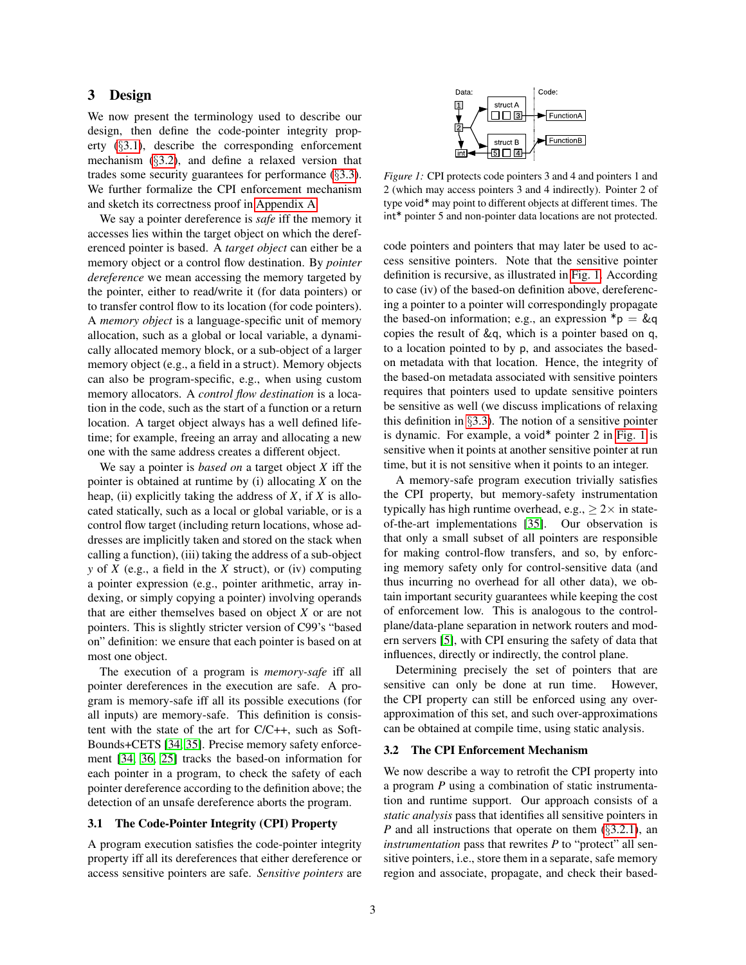## 3 Design

We now present the terminology used to describe our design, then define the code-pointer integrity property (§[3.1\)](#page-2-0), describe the corresponding enforcement mechanism (§[3.2\)](#page-2-1), and define a relaxed version that trades some security guarantees for performance (§[3.3\)](#page-5-0). We further formalize the CPI enforcement mechanism and sketch its correctness proof in [Appendix A.](#page-12-0)

We say a pointer dereference is *safe* iff the memory it accesses lies within the target object on which the dereferenced pointer is based. A *target object* can either be a memory object or a control flow destination. By *pointer dereference* we mean accessing the memory targeted by the pointer, either to read/write it (for data pointers) or to transfer control flow to its location (for code pointers). A *memory object* is a language-specific unit of memory allocation, such as a global or local variable, a dynamically allocated memory block, or a sub-object of a larger memory object (e.g., a field in a struct). Memory objects can also be program-specific, e.g., when using custom memory allocators. A *control flow destination* is a location in the code, such as the start of a function or a return location. A target object always has a well defined lifetime; for example, freeing an array and allocating a new one with the same address creates a different object.

We say a pointer is *based on* a target object *X* iff the pointer is obtained at runtime by (i) allocating *X* on the heap, (ii) explicitly taking the address of *X*, if *X* is allocated statically, such as a local or global variable, or is a control flow target (including return locations, whose addresses are implicitly taken and stored on the stack when calling a function), (iii) taking the address of a sub-object *y* of *X* (e.g., a field in the *X* struct), or (iv) computing a pointer expression (e.g., pointer arithmetic, array indexing, or simply copying a pointer) involving operands that are either themselves based on object *X* or are not pointers. This is slightly stricter version of C99's "based on" definition: we ensure that each pointer is based on at most one object.

The execution of a program is *memory-safe* iff all pointer dereferences in the execution are safe. A program is memory-safe iff all its possible executions (for all inputs) are memory-safe. This definition is consistent with the state of the art for C/C++, such as Soft-Bounds+CETS [\[34,](#page-15-8) [35\]](#page-15-13). Precise memory safety enforcement [\[34,](#page-15-8) [36,](#page-15-7) [25\]](#page-15-6) tracks the based-on information for each pointer in a program, to check the safety of each pointer dereference according to the definition above; the detection of an unsafe dereference aborts the program.

#### <span id="page-2-0"></span>3.1 The Code-Pointer Integrity (CPI) Property

A program execution satisfies the code-pointer integrity property iff all its dereferences that either dereference or access sensitive pointers are safe. *Sensitive pointers* are

<span id="page-2-2"></span>

*Figure 1:* CPI protects code pointers 3 and 4 and pointers 1 and 2 (which may access pointers 3 and 4 indirectly). Pointer 2 of type void\* may point to different objects at different times. The int\* pointer 5 and non-pointer data locations are not protected.

code pointers and pointers that may later be used to access sensitive pointers. Note that the sensitive pointer definition is recursive, as illustrated in [Fig. 1.](#page-2-2) According to case (iv) of the based-on definition above, dereferencing a pointer to a pointer will correspondingly propagate the based-on information; e.g., an expression  $\ast_p = \&q$ copies the result of &q, which is a pointer based on q, to a location pointed to by p, and associates the basedon metadata with that location. Hence, the integrity of the based-on metadata associated with sensitive pointers requires that pointers used to update sensitive pointers be sensitive as well (we discuss implications of relaxing this definition in §[3.3\)](#page-5-0). The notion of a sensitive pointer is dynamic. For example, a void\* pointer 2 in [Fig. 1](#page-2-2) is sensitive when it points at another sensitive pointer at run time, but it is not sensitive when it points to an integer.

A memory-safe program execution trivially satisfies the CPI property, but memory-safety instrumentation typically has high runtime overhead, e.g.,  $\geq 2 \times$  in stateof-the-art implementations [\[35\]](#page-15-13). Our observation is that only a small subset of all pointers are responsible for making control-flow transfers, and so, by enforcing memory safety only for control-sensitive data (and thus incurring no overhead for all other data), we obtain important security guarantees while keeping the cost of enforcement low. This is analogous to the controlplane/data-plane separation in network routers and modern servers [\[5\]](#page-14-11), with CPI ensuring the safety of data that influences, directly or indirectly, the control plane.

Determining precisely the set of pointers that are sensitive can only be done at run time. However, the CPI property can still be enforced using any overapproximation of this set, and such over-approximations can be obtained at compile time, using static analysis.

#### <span id="page-2-1"></span>3.2 The CPI Enforcement Mechanism

We now describe a way to retrofit the CPI property into a program *P* using a combination of static instrumentation and runtime support. Our approach consists of a *static analysis* pass that identifies all sensitive pointers in *P* and all instructions that operate on them (§[3.2.1\)](#page-3-0), an *instrumentation* pass that rewrites *P* to "protect" all sensitive pointers, i.e., store them in a separate, safe memory region and associate, propagate, and check their based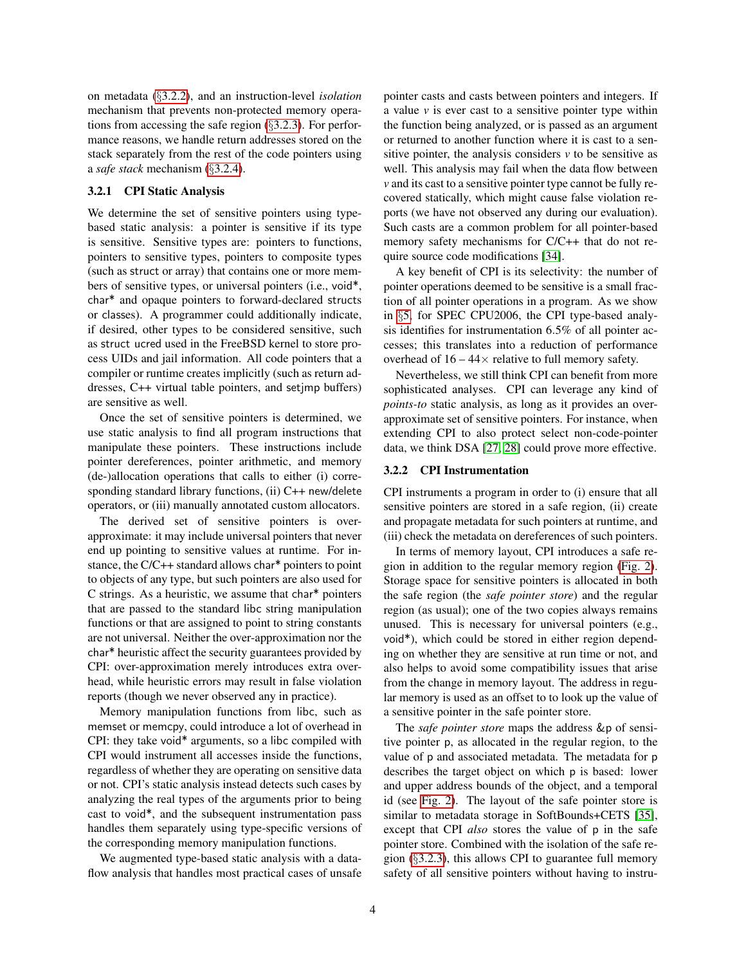on metadata (§[3.2.2\)](#page-3-1), and an instruction-level *isolation* mechanism that prevents non-protected memory operations from accessing the safe region (§[3.2.3\)](#page-4-0). For performance reasons, we handle return addresses stored on the stack separately from the rest of the code pointers using a *safe stack* mechanism (§[3.2.4\)](#page-5-1).

## <span id="page-3-0"></span>3.2.1 CPI Static Analysis

We determine the set of sensitive pointers using typebased static analysis: a pointer is sensitive if its type is sensitive. Sensitive types are: pointers to functions, pointers to sensitive types, pointers to composite types (such as struct or array) that contains one or more members of sensitive types, or universal pointers (i.e., void\*, char\* and opaque pointers to forward-declared structs or classes). A programmer could additionally indicate, if desired, other types to be considered sensitive, such as struct ucred used in the FreeBSD kernel to store process UIDs and jail information. All code pointers that a compiler or runtime creates implicitly (such as return addresses, C++ virtual table pointers, and setjmp buffers) are sensitive as well.

Once the set of sensitive pointers is determined, we use static analysis to find all program instructions that manipulate these pointers. These instructions include pointer dereferences, pointer arithmetic, and memory (de-)allocation operations that calls to either (i) corresponding standard library functions, (ii) C++ new/delete operators, or (iii) manually annotated custom allocators.

The derived set of sensitive pointers is overapproximate: it may include universal pointers that never end up pointing to sensitive values at runtime. For instance, the C/C++ standard allows char\* pointers to point to objects of any type, but such pointers are also used for C strings. As a heuristic, we assume that char\* pointers that are passed to the standard libc string manipulation functions or that are assigned to point to string constants are not universal. Neither the over-approximation nor the char\* heuristic affect the security guarantees provided by CPI: over-approximation merely introduces extra overhead, while heuristic errors may result in false violation reports (though we never observed any in practice).

Memory manipulation functions from libc, such as memset or memcpy, could introduce a lot of overhead in CPI: they take void\* arguments, so a libc compiled with CPI would instrument all accesses inside the functions, regardless of whether they are operating on sensitive data or not. CPI's static analysis instead detects such cases by analyzing the real types of the arguments prior to being cast to void\*, and the subsequent instrumentation pass handles them separately using type-specific versions of the corresponding memory manipulation functions.

We augmented type-based static analysis with a dataflow analysis that handles most practical cases of unsafe pointer casts and casts between pointers and integers. If a value *v* is ever cast to a sensitive pointer type within the function being analyzed, or is passed as an argument or returned to another function where it is cast to a sensitive pointer, the analysis considers  $\nu$  to be sensitive as well. This analysis may fail when the data flow between *v* and its cast to a sensitive pointer type cannot be fully recovered statically, which might cause false violation reports (we have not observed any during our evaluation). Such casts are a common problem for all pointer-based memory safety mechanisms for C/C++ that do not require source code modifications [\[34\]](#page-15-8).

A key benefit of CPI is its selectivity: the number of pointer operations deemed to be sensitive is a small fraction of all pointer operations in a program. As we show in §[5,](#page-7-0) for SPEC CPU2006, the CPI type-based analysis identifies for instrumentation 6.5% of all pointer accesses; this translates into a reduction of performance overhead of  $16 - 44 \times$  relative to full memory safety.

Nevertheless, we still think CPI can benefit from more sophisticated analyses. CPI can leverage any kind of *points-to* static analysis, as long as it provides an overapproximate set of sensitive pointers. For instance, when extending CPI to also protect select non-code-pointer data, we think DSA [\[27,](#page-15-14) [28\]](#page-15-15) could prove more effective.

#### <span id="page-3-1"></span>3.2.2 CPI Instrumentation

CPI instruments a program in order to (i) ensure that all sensitive pointers are stored in a safe region, (ii) create and propagate metadata for such pointers at runtime, and (iii) check the metadata on dereferences of such pointers.

In terms of memory layout, CPI introduces a safe region in addition to the regular memory region [\(Fig. 2\)](#page-4-1). Storage space for sensitive pointers is allocated in both the safe region (the *safe pointer store*) and the regular region (as usual); one of the two copies always remains unused. This is necessary for universal pointers (e.g., void\*), which could be stored in either region depending on whether they are sensitive at run time or not, and also helps to avoid some compatibility issues that arise from the change in memory layout. The address in regular memory is used as an offset to to look up the value of a sensitive pointer in the safe pointer store.

The *safe pointer store* maps the address &p of sensitive pointer p, as allocated in the regular region, to the value of p and associated metadata. The metadata for p describes the target object on which p is based: lower and upper address bounds of the object, and a temporal id (see [Fig. 2\)](#page-4-1). The layout of the safe pointer store is similar to metadata storage in SoftBounds+CETS [\[35\]](#page-15-13), except that CPI *also* stores the value of p in the safe pointer store. Combined with the isolation of the safe region (§[3.2.3\)](#page-4-0), this allows CPI to guarantee full memory safety of all sensitive pointers without having to instru-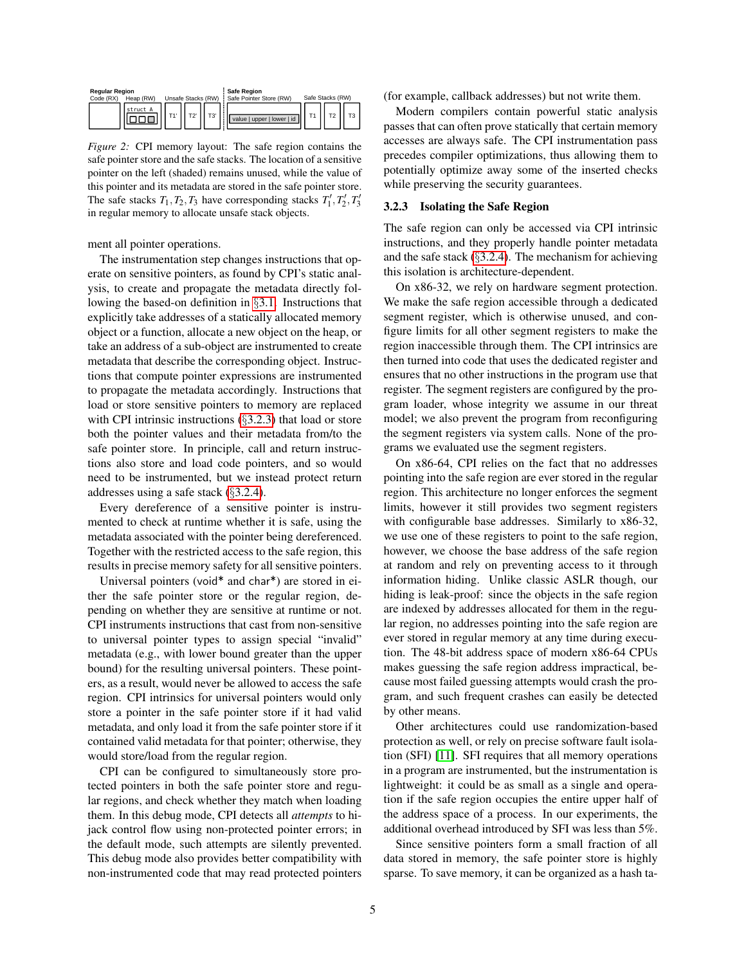<span id="page-4-1"></span>

*Figure 2:* CPI memory layout: The safe region contains the safe pointer store and the safe stacks. The location of a sensitive pointer on the left (shaded) remains unused, while the value of this pointer and its metadata are stored in the safe pointer store. The safe stacks  $T_1, T_2, T_3$  have corresponding stacks  $T_1', T_2', T_3'$ in regular memory to allocate unsafe stack objects.

ment all pointer operations.

The instrumentation step changes instructions that operate on sensitive pointers, as found by CPI's static analysis, to create and propagate the metadata directly following the based-on definition in §[3.1.](#page-2-0) Instructions that explicitly take addresses of a statically allocated memory object or a function, allocate a new object on the heap, or take an address of a sub-object are instrumented to create metadata that describe the corresponding object. Instructions that compute pointer expressions are instrumented to propagate the metadata accordingly. Instructions that load or store sensitive pointers to memory are replaced with CPI intrinsic instructions (§[3.2.3\)](#page-4-0) that load or store both the pointer values and their metadata from/to the safe pointer store. In principle, call and return instructions also store and load code pointers, and so would need to be instrumented, but we instead protect return addresses using a safe stack (§[3.2.4\)](#page-5-1).

Every dereference of a sensitive pointer is instrumented to check at runtime whether it is safe, using the metadata associated with the pointer being dereferenced. Together with the restricted access to the safe region, this results in precise memory safety for all sensitive pointers.

Universal pointers (void\* and char\*) are stored in either the safe pointer store or the regular region, depending on whether they are sensitive at runtime or not. CPI instruments instructions that cast from non-sensitive to universal pointer types to assign special "invalid" metadata (e.g., with lower bound greater than the upper bound) for the resulting universal pointers. These pointers, as a result, would never be allowed to access the safe region. CPI intrinsics for universal pointers would only store a pointer in the safe pointer store if it had valid metadata, and only load it from the safe pointer store if it contained valid metadata for that pointer; otherwise, they would store/load from the regular region.

CPI can be configured to simultaneously store protected pointers in both the safe pointer store and regular regions, and check whether they match when loading them. In this debug mode, CPI detects all *attempts* to hijack control flow using non-protected pointer errors; in the default mode, such attempts are silently prevented. This debug mode also provides better compatibility with non-instrumented code that may read protected pointers (for example, callback addresses) but not write them.

Modern compilers contain powerful static analysis passes that can often prove statically that certain memory accesses are always safe. The CPI instrumentation pass precedes compiler optimizations, thus allowing them to potentially optimize away some of the inserted checks while preserving the security guarantees.

### <span id="page-4-0"></span>3.2.3 Isolating the Safe Region

The safe region can only be accessed via CPI intrinsic instructions, and they properly handle pointer metadata and the safe stack  $(\S3.2.4)$  $(\S3.2.4)$ . The mechanism for achieving this isolation is architecture-dependent.

On x86-32, we rely on hardware segment protection. We make the safe region accessible through a dedicated segment register, which is otherwise unused, and configure limits for all other segment registers to make the region inaccessible through them. The CPI intrinsics are then turned into code that uses the dedicated register and ensures that no other instructions in the program use that register. The segment registers are configured by the program loader, whose integrity we assume in our threat model; we also prevent the program from reconfiguring the segment registers via system calls. None of the programs we evaluated use the segment registers.

On x86-64, CPI relies on the fact that no addresses pointing into the safe region are ever stored in the regular region. This architecture no longer enforces the segment limits, however it still provides two segment registers with configurable base addresses. Similarly to x86-32, we use one of these registers to point to the safe region, however, we choose the base address of the safe region at random and rely on preventing access to it through information hiding. Unlike classic ASLR though, our hiding is leak-proof: since the objects in the safe region are indexed by addresses allocated for them in the regular region, no addresses pointing into the safe region are ever stored in regular memory at any time during execution. The 48-bit address space of modern x86-64 CPUs makes guessing the safe region address impractical, because most failed guessing attempts would crash the program, and such frequent crashes can easily be detected by other means.

Other architectures could use randomization-based protection as well, or rely on precise software fault isolation (SFI) [\[11\]](#page-14-12). SFI requires that all memory operations in a program are instrumented, but the instrumentation is lightweight: it could be as small as a single and operation if the safe region occupies the entire upper half of the address space of a process. In our experiments, the additional overhead introduced by SFI was less than 5%.

Since sensitive pointers form a small fraction of all data stored in memory, the safe pointer store is highly sparse. To save memory, it can be organized as a hash ta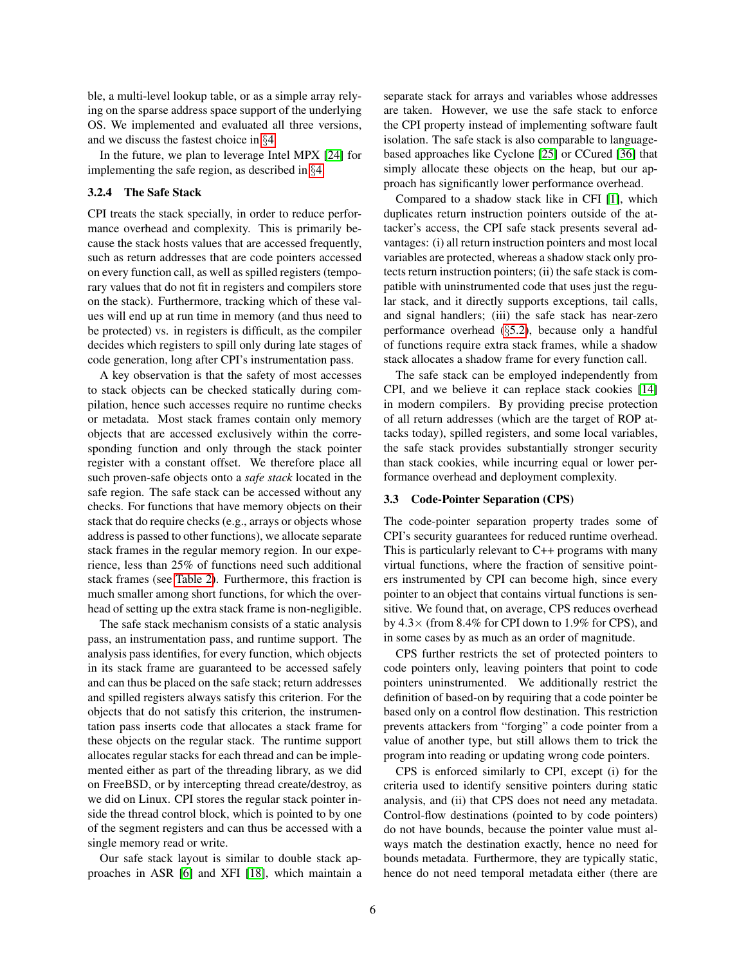ble, a multi-level lookup table, or as a simple array relying on the sparse address space support of the underlying OS. We implemented and evaluated all three versions, and we discuss the fastest choice in §[4.](#page-6-0)

In the future, we plan to leverage Intel MPX [\[24\]](#page-14-13) for implementing the safe region, as described in §[4.](#page-6-0)

#### <span id="page-5-1"></span>3.2.4 The Safe Stack

CPI treats the stack specially, in order to reduce performance overhead and complexity. This is primarily because the stack hosts values that are accessed frequently, such as return addresses that are code pointers accessed on every function call, as well as spilled registers (temporary values that do not fit in registers and compilers store on the stack). Furthermore, tracking which of these values will end up at run time in memory (and thus need to be protected) vs. in registers is difficult, as the compiler decides which registers to spill only during late stages of code generation, long after CPI's instrumentation pass.

A key observation is that the safety of most accesses to stack objects can be checked statically during compilation, hence such accesses require no runtime checks or metadata. Most stack frames contain only memory objects that are accessed exclusively within the corresponding function and only through the stack pointer register with a constant offset. We therefore place all such proven-safe objects onto a *safe stack* located in the safe region. The safe stack can be accessed without any checks. For functions that have memory objects on their stack that do require checks (e.g., arrays or objects whose address is passed to other functions), we allocate separate stack frames in the regular memory region. In our experience, less than 25% of functions need such additional stack frames (see [Table 2\)](#page-9-0). Furthermore, this fraction is much smaller among short functions, for which the overhead of setting up the extra stack frame is non-negligible.

The safe stack mechanism consists of a static analysis pass, an instrumentation pass, and runtime support. The analysis pass identifies, for every function, which objects in its stack frame are guaranteed to be accessed safely and can thus be placed on the safe stack; return addresses and spilled registers always satisfy this criterion. For the objects that do not satisfy this criterion, the instrumentation pass inserts code that allocates a stack frame for these objects on the regular stack. The runtime support allocates regular stacks for each thread and can be implemented either as part of the threading library, as we did on FreeBSD, or by intercepting thread create/destroy, as we did on Linux. CPI stores the regular stack pointer inside the thread control block, which is pointed to by one of the segment registers and can thus be accessed with a single memory read or write.

Our safe stack layout is similar to double stack approaches in ASR [\[6\]](#page-14-14) and XFI [\[18\]](#page-14-15), which maintain a separate stack for arrays and variables whose addresses are taken. However, we use the safe stack to enforce the CPI property instead of implementing software fault isolation. The safe stack is also comparable to languagebased approaches like Cyclone [\[25\]](#page-15-6) or CCured [\[36\]](#page-15-7) that simply allocate these objects on the heap, but our approach has significantly lower performance overhead.

Compared to a shadow stack like in CFI [\[1\]](#page-14-10), which duplicates return instruction pointers outside of the attacker's access, the CPI safe stack presents several advantages: (i) all return instruction pointers and most local variables are protected, whereas a shadow stack only protects return instruction pointers; (ii) the safe stack is compatible with uninstrumented code that uses just the regular stack, and it directly supports exceptions, tail calls, and signal handlers; (iii) the safe stack has near-zero performance overhead (§[5.2\)](#page-8-0), because only a handful of functions require extra stack frames, while a shadow stack allocates a shadow frame for every function call.

The safe stack can be employed independently from CPI, and we believe it can replace stack cookies [\[14\]](#page-14-6) in modern compilers. By providing precise protection of all return addresses (which are the target of ROP attacks today), spilled registers, and some local variables, the safe stack provides substantially stronger security than stack cookies, while incurring equal or lower performance overhead and deployment complexity.

#### <span id="page-5-0"></span>3.3 Code-Pointer Separation (CPS)

The code-pointer separation property trades some of CPI's security guarantees for reduced runtime overhead. This is particularly relevant to C++ programs with many virtual functions, where the fraction of sensitive pointers instrumented by CPI can become high, since every pointer to an object that contains virtual functions is sensitive. We found that, on average, CPS reduces overhead by  $4.3\times$  (from  $8.4\%$  for CPI down to 1.9% for CPS), and in some cases by as much as an order of magnitude.

CPS further restricts the set of protected pointers to code pointers only, leaving pointers that point to code pointers uninstrumented. We additionally restrict the definition of based-on by requiring that a code pointer be based only on a control flow destination. This restriction prevents attackers from "forging" a code pointer from a value of another type, but still allows them to trick the program into reading or updating wrong code pointers.

CPS is enforced similarly to CPI, except (i) for the criteria used to identify sensitive pointers during static analysis, and (ii) that CPS does not need any metadata. Control-flow destinations (pointed to by code pointers) do not have bounds, because the pointer value must always match the destination exactly, hence no need for bounds metadata. Furthermore, they are typically static, hence do not need temporal metadata either (there are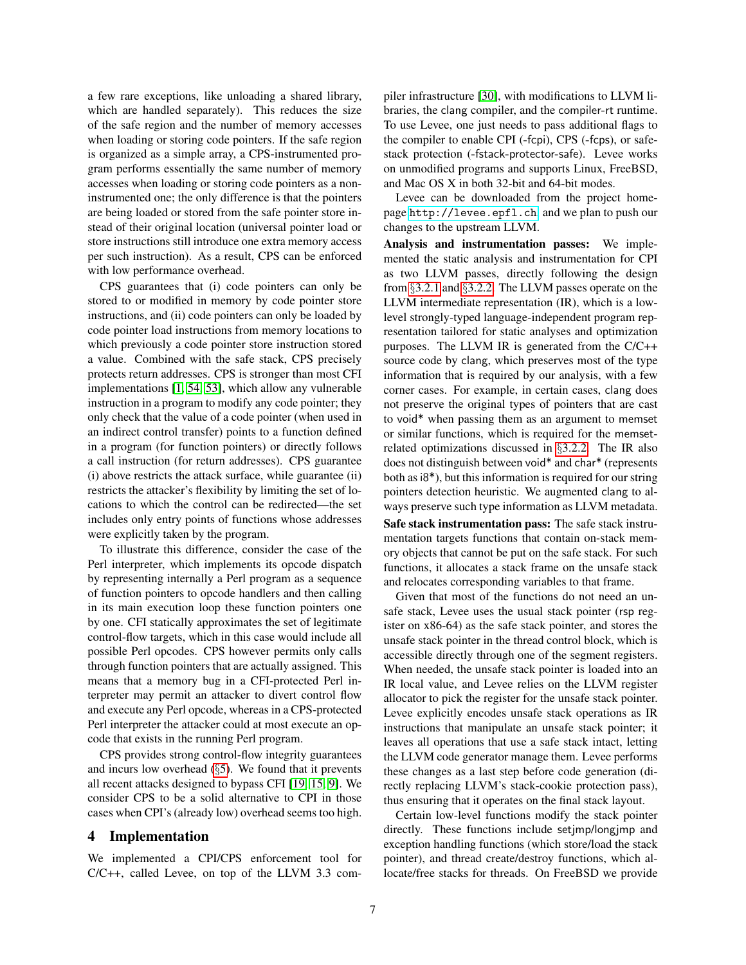a few rare exceptions, like unloading a shared library, which are handled separately). This reduces the size of the safe region and the number of memory accesses when loading or storing code pointers. If the safe region is organized as a simple array, a CPS-instrumented program performs essentially the same number of memory accesses when loading or storing code pointers as a noninstrumented one; the only difference is that the pointers are being loaded or stored from the safe pointer store instead of their original location (universal pointer load or store instructions still introduce one extra memory access per such instruction). As a result, CPS can be enforced with low performance overhead.

CPS guarantees that (i) code pointers can only be stored to or modified in memory by code pointer store instructions, and (ii) code pointers can only be loaded by code pointer load instructions from memory locations to which previously a code pointer store instruction stored a value. Combined with the safe stack, CPS precisely protects return addresses. CPS is stronger than most CFI implementations [\[1,](#page-14-10) [54,](#page-16-0) [53\]](#page-16-1), which allow any vulnerable instruction in a program to modify any code pointer; they only check that the value of a code pointer (when used in an indirect control transfer) points to a function defined in a program (for function pointers) or directly follows a call instruction (for return addresses). CPS guarantee (i) above restricts the attack surface, while guarantee (ii) restricts the attacker's flexibility by limiting the set of locations to which the control can be redirected—the set includes only entry points of functions whose addresses were explicitly taken by the program.

To illustrate this difference, consider the case of the Perl interpreter, which implements its opcode dispatch by representing internally a Perl program as a sequence of function pointers to opcode handlers and then calling in its main execution loop these function pointers one by one. CFI statically approximates the set of legitimate control-flow targets, which in this case would include all possible Perl opcodes. CPS however permits only calls through function pointers that are actually assigned. This means that a memory bug in a CFI-protected Perl interpreter may permit an attacker to divert control flow and execute any Perl opcode, whereas in a CPS-protected Perl interpreter the attacker could at most execute an opcode that exists in the running Perl program.

CPS provides strong control-flow integrity guarantees and incurs low overhead  $(\S5)$  $(\S5)$ . We found that it prevents all recent attacks designed to bypass CFI [\[19,](#page-14-0) [15,](#page-14-1) [9\]](#page-14-2). We consider CPS to be a solid alternative to CPI in those cases when CPI's (already low) overhead seems too high.

### <span id="page-6-0"></span>4 Implementation

We implemented a CPI/CPS enforcement tool for C/C++, called Levee, on top of the LLVM 3.3 compiler infrastructure [\[30\]](#page-15-16), with modifications to LLVM libraries, the clang compiler, and the compiler-rt runtime. To use Levee, one just needs to pass additional flags to the compiler to enable CPI (-fcpi), CPS (-fcps), or safestack protection (-fstack-protector-safe). Levee works on unmodified programs and supports Linux, FreeBSD, and Mac OS X in both 32-bit and 64-bit modes.

Levee can be downloaded from the project homepage <http://levee.epfl.ch>, and we plan to push our changes to the upstream LLVM.

Analysis and instrumentation passes: We implemented the static analysis and instrumentation for CPI as two LLVM passes, directly following the design from §[3.2.1](#page-3-0) and §[3.2.2.](#page-3-1) The LLVM passes operate on the LLVM intermediate representation (IR), which is a lowlevel strongly-typed language-independent program representation tailored for static analyses and optimization purposes. The LLVM IR is generated from the C/C++ source code by clang, which preserves most of the type information that is required by our analysis, with a few corner cases. For example, in certain cases, clang does not preserve the original types of pointers that are cast to void\* when passing them as an argument to memset or similar functions, which is required for the memsetrelated optimizations discussed in §[3.2.2.](#page-3-1) The IR also does not distinguish between void\* and char\* (represents both as  $8^*$ ), but this information is required for our string pointers detection heuristic. We augmented clang to always preserve such type information as LLVM metadata. Safe stack instrumentation pass: The safe stack instrumentation targets functions that contain on-stack memory objects that cannot be put on the safe stack. For such functions, it allocates a stack frame on the unsafe stack and relocates corresponding variables to that frame.

Given that most of the functions do not need an unsafe stack, Levee uses the usual stack pointer (rsp register on x86-64) as the safe stack pointer, and stores the unsafe stack pointer in the thread control block, which is accessible directly through one of the segment registers. When needed, the unsafe stack pointer is loaded into an IR local value, and Levee relies on the LLVM register allocator to pick the register for the unsafe stack pointer. Levee explicitly encodes unsafe stack operations as IR instructions that manipulate an unsafe stack pointer; it leaves all operations that use a safe stack intact, letting the LLVM code generator manage them. Levee performs these changes as a last step before code generation (directly replacing LLVM's stack-cookie protection pass), thus ensuring that it operates on the final stack layout.

Certain low-level functions modify the stack pointer directly. These functions include setjmp/longjmp and exception handling functions (which store/load the stack pointer), and thread create/destroy functions, which allocate/free stacks for threads. On FreeBSD we provide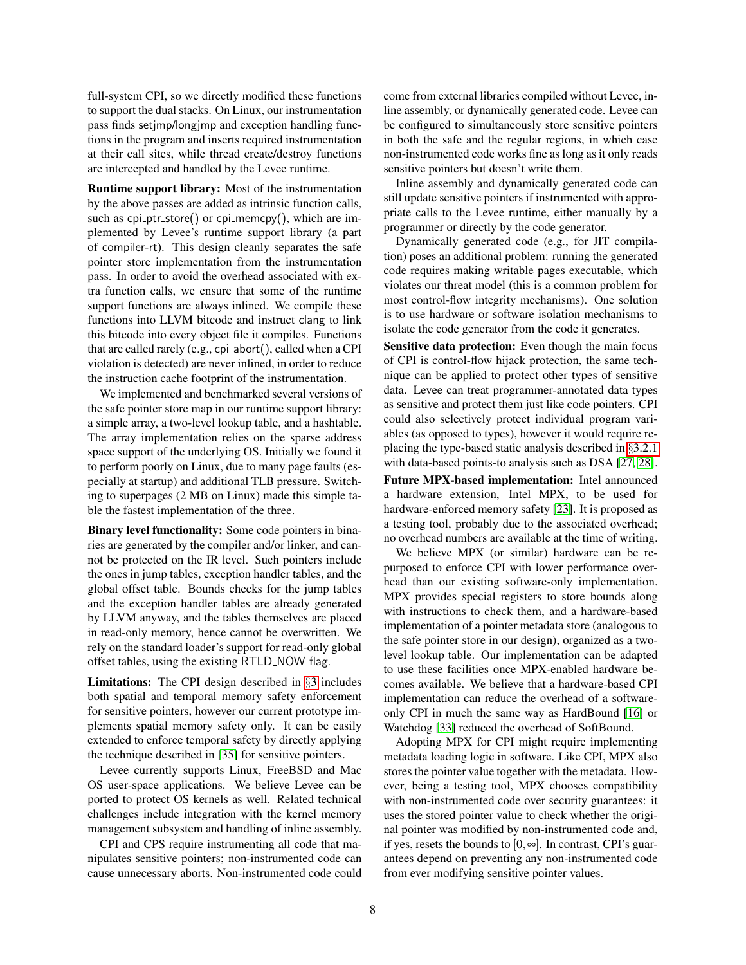full-system CPI, so we directly modified these functions to support the dual stacks. On Linux, our instrumentation pass finds setjmp/longjmp and exception handling functions in the program and inserts required instrumentation at their call sites, while thread create/destroy functions are intercepted and handled by the Levee runtime.

Runtime support library: Most of the instrumentation by the above passes are added as intrinsic function calls, such as cpi ptr store() or cpi memcpy(), which are implemented by Levee's runtime support library (a part of compiler-rt). This design cleanly separates the safe pointer store implementation from the instrumentation pass. In order to avoid the overhead associated with extra function calls, we ensure that some of the runtime support functions are always inlined. We compile these functions into LLVM bitcode and instruct clang to link this bitcode into every object file it compiles. Functions that are called rarely (e.g., cpi abort(), called when a CPI violation is detected) are never inlined, in order to reduce the instruction cache footprint of the instrumentation.

We implemented and benchmarked several versions of the safe pointer store map in our runtime support library: a simple array, a two-level lookup table, and a hashtable. The array implementation relies on the sparse address space support of the underlying OS. Initially we found it to perform poorly on Linux, due to many page faults (especially at startup) and additional TLB pressure. Switching to superpages (2 MB on Linux) made this simple table the fastest implementation of the three.

Binary level functionality: Some code pointers in binaries are generated by the compiler and/or linker, and cannot be protected on the IR level. Such pointers include the ones in jump tables, exception handler tables, and the global offset table. Bounds checks for the jump tables and the exception handler tables are already generated by LLVM anyway, and the tables themselves are placed in read-only memory, hence cannot be overwritten. We rely on the standard loader's support for read-only global offset tables, using the existing RTLD\_NOW flag.

Limitations: The CPI design described in §[3](#page-1-1) includes both spatial and temporal memory safety enforcement for sensitive pointers, however our current prototype implements spatial memory safety only. It can be easily extended to enforce temporal safety by directly applying the technique described in [\[35\]](#page-15-13) for sensitive pointers.

Levee currently supports Linux, FreeBSD and Mac OS user-space applications. We believe Levee can be ported to protect OS kernels as well. Related technical challenges include integration with the kernel memory management subsystem and handling of inline assembly.

CPI and CPS require instrumenting all code that manipulates sensitive pointers; non-instrumented code can cause unnecessary aborts. Non-instrumented code could come from external libraries compiled without Levee, inline assembly, or dynamically generated code. Levee can be configured to simultaneously store sensitive pointers in both the safe and the regular regions, in which case non-instrumented code works fine as long as it only reads sensitive pointers but doesn't write them.

Inline assembly and dynamically generated code can still update sensitive pointers if instrumented with appropriate calls to the Levee runtime, either manually by a programmer or directly by the code generator.

Dynamically generated code (e.g., for JIT compilation) poses an additional problem: running the generated code requires making writable pages executable, which violates our threat model (this is a common problem for most control-flow integrity mechanisms). One solution is to use hardware or software isolation mechanisms to isolate the code generator from the code it generates.

Sensitive data protection: Even though the main focus of CPI is control-flow hijack protection, the same technique can be applied to protect other types of sensitive data. Levee can treat programmer-annotated data types as sensitive and protect them just like code pointers. CPI could also selectively protect individual program variables (as opposed to types), however it would require replacing the type-based static analysis described in §[3.2.1](#page-3-0) with data-based points-to analysis such as DSA [\[27,](#page-15-14) [28\]](#page-15-15).

Future MPX-based implementation: Intel announced a hardware extension, Intel MPX, to be used for hardware-enforced memory safety [\[23\]](#page-14-16). It is proposed as a testing tool, probably due to the associated overhead; no overhead numbers are available at the time of writing.

We believe MPX (or similar) hardware can be repurposed to enforce CPI with lower performance overhead than our existing software-only implementation. MPX provides special registers to store bounds along with instructions to check them, and a hardware-based implementation of a pointer metadata store (analogous to the safe pointer store in our design), organized as a twolevel lookup table. Our implementation can be adapted to use these facilities once MPX-enabled hardware becomes available. We believe that a hardware-based CPI implementation can reduce the overhead of a softwareonly CPI in much the same way as HardBound [\[16\]](#page-14-17) or Watchdog [\[33\]](#page-15-17) reduced the overhead of SoftBound.

<span id="page-7-0"></span>Adopting MPX for CPI might require implementing metadata loading logic in software. Like CPI, MPX also stores the pointer value together with the metadata. However, being a testing tool, MPX chooses compatibility with non-instrumented code over security guarantees: it uses the stored pointer value to check whether the original pointer was modified by non-instrumented code and, if yes, resets the bounds to  $[0, \infty]$ . In contrast, CPI's guarantees depend on preventing any non-instrumented code from ever modifying sensitive pointer values.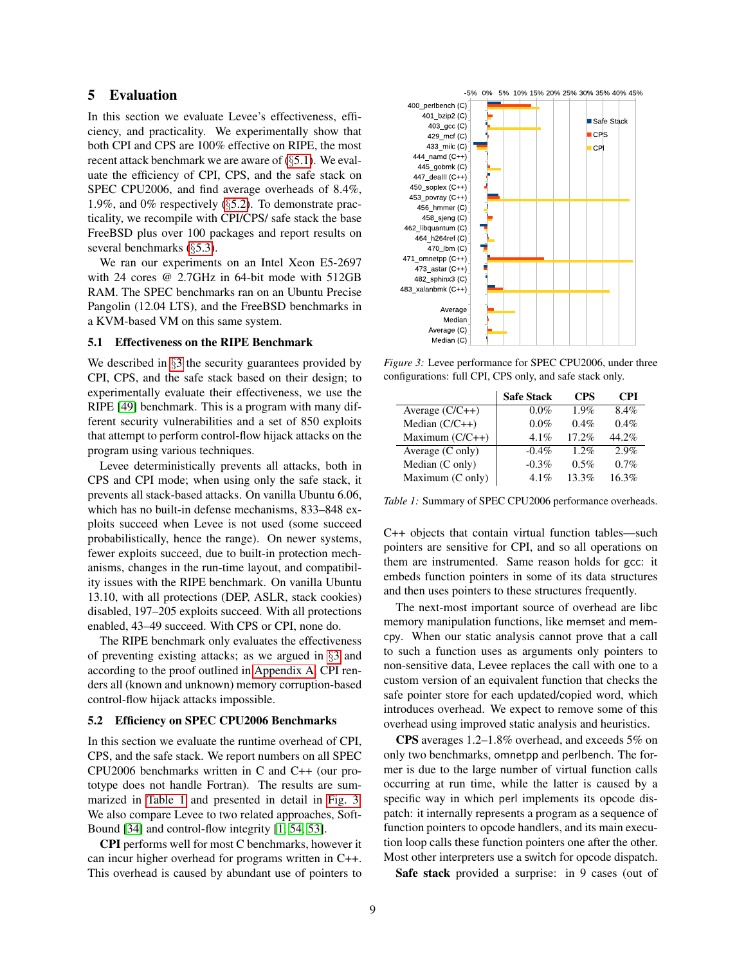## 5 Evaluation

In this section we evaluate Levee's effectiveness, efficiency, and practicality. We experimentally show that both CPI and CPS are 100% effective on RIPE, the most recent attack benchmark we are aware of (§[5.1\)](#page-8-1). We evaluate the efficiency of CPI, CPS, and the safe stack on SPEC CPU2006, and find average overheads of 8.4%, 1.9%, and 0% respectively (§[5.2\)](#page-8-0). To demonstrate practicality, we recompile with CPI/CPS/ safe stack the base FreeBSD plus over 100 packages and report results on several benchmarks (§[5.3\)](#page-10-1).

We ran our experiments on an Intel Xeon E5-2697 with 24 cores @ 2.7GHz in 64-bit mode with 512GB RAM. The SPEC benchmarks ran on an Ubuntu Precise Pangolin (12.04 LTS), and the FreeBSD benchmarks in a KVM-based VM on this same system.

#### <span id="page-8-1"></span>5.1 Effectiveness on the RIPE Benchmark

We described in §[3](#page-1-1) the security guarantees provided by CPI, CPS, and the safe stack based on their design; to experimentally evaluate their effectiveness, we use the RIPE [\[49\]](#page-16-2) benchmark. This is a program with many different security vulnerabilities and a set of 850 exploits that attempt to perform control-flow hijack attacks on the program using various techniques.

Levee deterministically prevents all attacks, both in CPS and CPI mode; when using only the safe stack, it prevents all stack-based attacks. On vanilla Ubuntu 6.06, which has no built-in defense mechanisms, 833–848 exploits succeed when Levee is not used (some succeed probabilistically, hence the range). On newer systems, fewer exploits succeed, due to built-in protection mechanisms, changes in the run-time layout, and compatibility issues with the RIPE benchmark. On vanilla Ubuntu 13.10, with all protections (DEP, ASLR, stack cookies) disabled, 197–205 exploits succeed. With all protections enabled, 43–49 succeed. With CPS or CPI, none do.

The RIPE benchmark only evaluates the effectiveness of preventing existing attacks; as we argued in §[3](#page-1-1) and according to the proof outlined in [Appendix A,](#page-12-0) CPI renders all (known and unknown) memory corruption-based control-flow hijack attacks impossible.

#### <span id="page-8-0"></span>5.2 Efficiency on SPEC CPU2006 Benchmarks

In this section we evaluate the runtime overhead of CPI, CPS, and the safe stack. We report numbers on all SPEC CPU2006 benchmarks written in C and C++ (our prototype does not handle Fortran). The results are summarized in [Table 1](#page-8-2) and presented in detail in [Fig. 3.](#page-8-3) We also compare Levee to two related approaches, Soft-Bound [\[34\]](#page-15-8) and control-flow integrity [\[1,](#page-14-10) [54,](#page-16-0) [53\]](#page-16-1).

CPI performs well for most C benchmarks, however it can incur higher overhead for programs written in C++. This overhead is caused by abundant use of pointers to

<span id="page-8-3"></span>

*Figure 3:* Levee performance for SPEC CPU2006, under three configurations: full CPI, CPS only, and safe stack only.

<span id="page-8-2"></span>

|                            | <b>Safe Stack</b> | <b>CPS</b> | <b>CPI</b> |
|----------------------------|-------------------|------------|------------|
| Average $(C/C++)$          | $0.0\%$           | $1.9\%$    | 8.4%       |
| Median $(C/C++)$           | 0.0%              | $0.4\%$    | 0.4%       |
| Maximum (C/C++)            | $4.1\%$           | 17.2%      | 44.2%      |
| Average $(C \text{ only})$ | $-0.4\%$          | $1.2\%$    | 2.9%       |
| Median (C only)            | $-0.3%$           | $0.5\%$    | $0.7\%$    |
| Maximum (C only)           | 4.1%              | 13.3%      | 16.3%      |

*Table 1:* Summary of SPEC CPU2006 performance overheads.

C++ objects that contain virtual function tables—such pointers are sensitive for CPI, and so all operations on them are instrumented. Same reason holds for gcc: it embeds function pointers in some of its data structures and then uses pointers to these structures frequently.

The next-most important source of overhead are libc memory manipulation functions, like memset and memcpy. When our static analysis cannot prove that a call to such a function uses as arguments only pointers to non-sensitive data, Levee replaces the call with one to a custom version of an equivalent function that checks the safe pointer store for each updated/copied word, which introduces overhead. We expect to remove some of this overhead using improved static analysis and heuristics.

CPS averages 1.2–1.8% overhead, and exceeds 5% on only two benchmarks, omnetpp and perlbench. The former is due to the large number of virtual function calls occurring at run time, while the latter is caused by a specific way in which perl implements its opcode dispatch: it internally represents a program as a sequence of function pointers to opcode handlers, and its main execution loop calls these function pointers one after the other. Most other interpreters use a switch for opcode dispatch.

Safe stack provided a surprise: in 9 cases (out of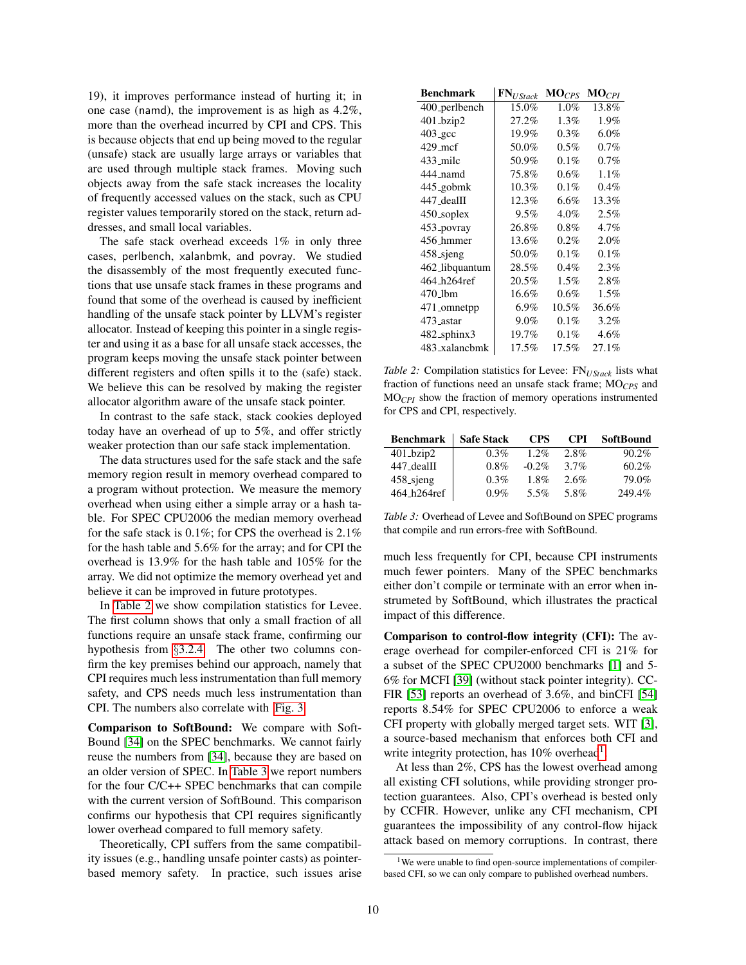19), it improves performance instead of hurting it; in one case (namd), the improvement is as high as 4.2%, more than the overhead incurred by CPI and CPS. This is because objects that end up being moved to the regular (unsafe) stack are usually large arrays or variables that are used through multiple stack frames. Moving such objects away from the safe stack increases the locality of frequently accessed values on the stack, such as CPU register values temporarily stored on the stack, return addresses, and small local variables.

The safe stack overhead exceeds 1% in only three cases, perlbench, xalanbmk, and povray. We studied the disassembly of the most frequently executed functions that use unsafe stack frames in these programs and found that some of the overhead is caused by inefficient handling of the unsafe stack pointer by LLVM's register allocator. Instead of keeping this pointer in a single register and using it as a base for all unsafe stack accesses, the program keeps moving the unsafe stack pointer between different registers and often spills it to the (safe) stack. We believe this can be resolved by making the register allocator algorithm aware of the unsafe stack pointer.

In contrast to the safe stack, stack cookies deployed today have an overhead of up to 5%, and offer strictly weaker protection than our safe stack implementation.

The data structures used for the safe stack and the safe memory region result in memory overhead compared to a program without protection. We measure the memory overhead when using either a simple array or a hash table. For SPEC CPU2006 the median memory overhead for the safe stack is 0.1%; for CPS the overhead is 2.1% for the hash table and 5.6% for the array; and for CPI the overhead is 13.9% for the hash table and 105% for the array. We did not optimize the memory overhead yet and believe it can be improved in future prototypes.

In [Table 2](#page-9-0) we show compilation statistics for Levee. The first column shows that only a small fraction of all functions require an unsafe stack frame, confirming our hypothesis from §[3.2.4.](#page-5-1) The other two columns confirm the key premises behind our approach, namely that CPI requires much less instrumentation than full memory safety, and CPS needs much less instrumentation than CPI. The numbers also correlate with [Fig. 3.](#page-8-3)

Comparison to SoftBound: We compare with Soft-Bound [\[34\]](#page-15-8) on the SPEC benchmarks. We cannot fairly reuse the numbers from [\[34\]](#page-15-8), because they are based on an older version of SPEC. In [Table 3](#page-9-1) we report numbers for the four C/C++ SPEC benchmarks that can compile with the current version of SoftBound. This comparison confirms our hypothesis that CPI requires significantly lower overhead compared to full memory safety.

Theoretically, CPI suffers from the same compatibility issues (e.g., handling unsafe pointer casts) as pointerbased memory safety. In practice, such issues arise

<span id="page-9-0"></span>

| <b>Benchmark</b>        | $\mathbf{FN}_{USłack}$ | $MO_{CPS}$ | $MO_{CPI}$ |
|-------------------------|------------------------|------------|------------|
| 400_perlbench           | 15.0%                  | $1.0\%$    | 13.8%      |
| $401$ _bzip2            | 27.2%                  | $1.3\%$    | 1.9%       |
| $403 \text{--}$ gcc     | 19.9%                  | $0.3\%$    | $6.0\%$    |
| $429$ mcf               | 50.0%                  | $0.5\%$    | 0.7%       |
| $433$ mile              | 50.9%                  | 0.1%       | 0.7%       |
| 444_namd                | 75.8%                  | $0.6\%$    | $1.1\%$    |
| 445_gobmk               | 10.3%                  | $0.1\%$    | $0.4\%$    |
| 447 dealII              | 12.3%                  | $6.6\%$    | 13.3%      |
| 450_soplex              | $9.5\%$                | 4.0%       | 2.5%       |
| 453 <sub>-</sub> povray | 26.8%                  | $0.8\%$    | 4.7%       |
| 456_hmmer               | 13.6%                  | $0.2\%$    | 2.0%       |
| $458$ _sjeng            | 50.0%                  | 0.1%       | $0.1\%$    |
| 462_libquantum          | 28.5%                  | $0.4\%$    | 2.3%       |
| 464_h264ref             | 20.5%                  | $1.5\%$    | 2.8%       |
| 470_lbm                 | 16.6%                  | $0.6\%$    | $1.5\%$    |
| 471_omnetpp             | $6.9\%$                | 10.5%      | 36.6%      |
| 473_astar               | $9.0\%$                | $0.1\%$    | $3.2\%$    |
| $482$ _sphinx $3$       | 19.7%                  | $0.1\%$    | 4.6%       |
| 483_xalancbmk           | $17.5\%$               | 17.5%      | 27.1%      |

*Table 2:* Compilation statistics for Levee: FN*UStack* lists what fraction of functions need an unsafe stack frame; MO*CPS* and MO*CPI* show the fraction of memory operations instrumented for CPS and CPI, respectively.

<span id="page-9-1"></span>

| <b>Benchmark</b> | <b>Safe Stack</b> | <b>CPS</b> | <b>CPI</b> | <b>SoftBound</b> |
|------------------|-------------------|------------|------------|------------------|
| $401$ _bzip2     | $0.3\%$           | $1.2\%$    | $2.8\%$    | 90.2%            |
| 447_dealII       | $0.8\%$           | $-0.2\%$   | $3.7\%$    | 60.2%            |
| $458$ _sjeng     | $0.3\%$           | $1.8\%$    | 2.6%       | 79.0%            |
| 464_h264ref      | $0.9\%$           | 5.5%       | 5.8%       | 249.4%           |

*Table 3:* Overhead of Levee and SoftBound on SPEC programs that compile and run errors-free with SoftBound.

much less frequently for CPI, because CPI instruments much fewer pointers. Many of the SPEC benchmarks either don't compile or terminate with an error when instrumeted by SoftBound, which illustrates the practical impact of this difference.

Comparison to control-flow integrity (CFI): The average overhead for compiler-enforced CFI is 21% for a subset of the SPEC CPU2000 benchmarks [\[1\]](#page-14-10) and 5- 6% for MCFI [\[39\]](#page-15-12) (without stack pointer integrity). CC-FIR [\[53\]](#page-16-1) reports an overhead of 3.6%, and binCFI [\[54\]](#page-16-0) reports 8.54% for SPEC CPU2006 to enforce a weak CFI property with globally merged target sets. WIT [\[3\]](#page-14-8), a source-based mechanism that enforces both CFI and write integrity protection, has [1](#page-9-2)0% overhead<sup>1</sup>.

At less than 2%, CPS has the lowest overhead among all existing CFI solutions, while providing stronger protection guarantees. Also, CPI's overhead is bested only by CCFIR. However, unlike any CFI mechanism, CPI guarantees the impossibility of any control-flow hijack attack based on memory corruptions. In contrast, there

<span id="page-9-2"></span><sup>&</sup>lt;sup>1</sup>We were unable to find open-source implementations of compilerbased CFI, so we can only compare to published overhead numbers.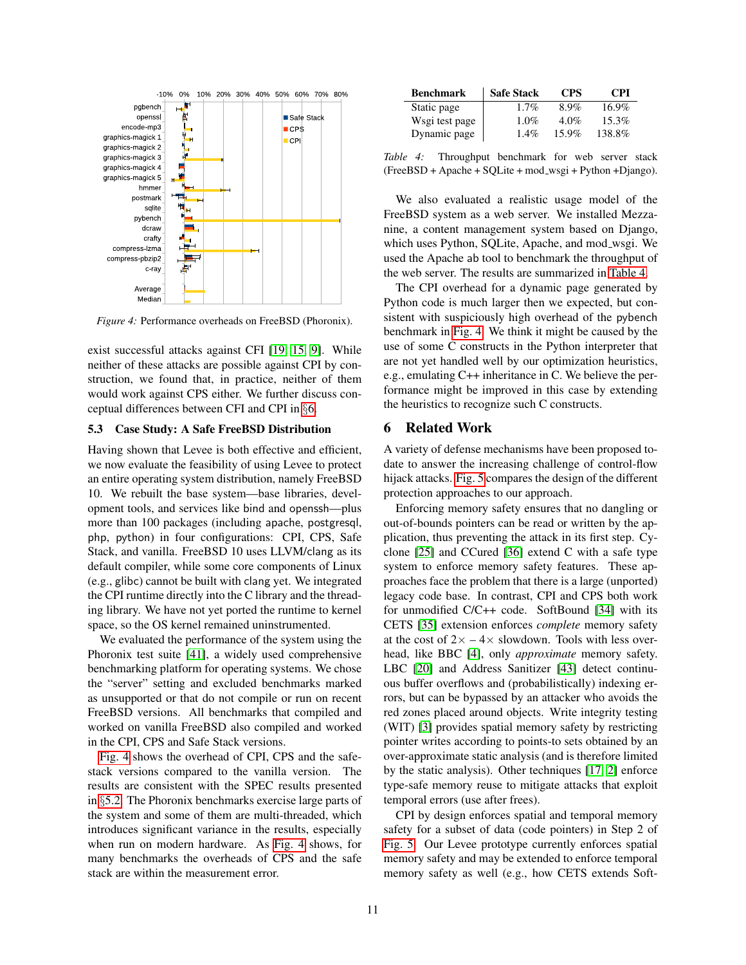<span id="page-10-2"></span>

*Figure 4:* Performance overheads on FreeBSD (Phoronix).

exist successful attacks against CFI [\[19,](#page-14-0) [15,](#page-14-1) [9\]](#page-14-2). While neither of these attacks are possible against CPI by construction, we found that, in practice, neither of them would work against CPS either. We further discuss conceptual differences between CFI and CPI in §[6.](#page-10-0)

#### <span id="page-10-1"></span>5.3 Case Study: A Safe FreeBSD Distribution

Having shown that Levee is both effective and efficient, we now evaluate the feasibility of using Levee to protect an entire operating system distribution, namely FreeBSD 10. We rebuilt the base system—base libraries, development tools, and services like bind and openssh—plus more than 100 packages (including apache, postgresql, php, python) in four configurations: CPI, CPS, Safe Stack, and vanilla. FreeBSD 10 uses LLVM/clang as its default compiler, while some core components of Linux (e.g., glibc) cannot be built with clang yet. We integrated the CPI runtime directly into the C library and the threading library. We have not yet ported the runtime to kernel space, so the OS kernel remained uninstrumented.

We evaluated the performance of the system using the Phoronix test suite [\[41\]](#page-15-18), a widely used comprehensive benchmarking platform for operating systems. We chose the "server" setting and excluded benchmarks marked as unsupported or that do not compile or run on recent FreeBSD versions. All benchmarks that compiled and worked on vanilla FreeBSD also compiled and worked in the CPI, CPS and Safe Stack versions.

[Fig. 4](#page-10-2) shows the overhead of CPI, CPS and the safestack versions compared to the vanilla version. The results are consistent with the SPEC results presented in §[5.2.](#page-8-0) The Phoronix benchmarks exercise large parts of the system and some of them are multi-threaded, which introduces significant variance in the results, especially when run on modern hardware. As [Fig. 4](#page-10-2) shows, for many benchmarks the overheads of CPS and the safe stack are within the measurement error.

<span id="page-10-3"></span>

| <b>Benchmark</b> | <b>Safe Stack</b> | <b>CPS</b> | CPI      |
|------------------|-------------------|------------|----------|
| Static page      | $1.7\%$           | 8.9%       | $16.9\%$ |
| Wsgi test page   | $1.0\%$           | $4.0\%$    | 15.3%    |
| Dynamic page     | $1.4\%$           | 15.9%      | 138.8%   |

*Table 4:* Throughput benchmark for web server stack  $(FreeBSD + Apache + SOLite + mod_wsgi + Python + Django).$ 

We also evaluated a realistic usage model of the FreeBSD system as a web server. We installed Mezzanine, a content management system based on Django, which uses Python, SQLite, Apache, and mod\_wsgi. We used the Apache ab tool to benchmark the throughput of the web server. The results are summarized in [Table 4.](#page-10-3)

The CPI overhead for a dynamic page generated by Python code is much larger then we expected, but consistent with suspiciously high overhead of the pybench benchmark in [Fig. 4.](#page-10-2) We think it might be caused by the use of some C constructs in the Python interpreter that are not yet handled well by our optimization heuristics, e.g., emulating C++ inheritance in C. We believe the performance might be improved in this case by extending the heuristics to recognize such C constructs.

## <span id="page-10-0"></span>6 Related Work

A variety of defense mechanisms have been proposed todate to answer the increasing challenge of control-flow hijack attacks. [Fig. 5](#page-11-1) compares the design of the different protection approaches to our approach.

Enforcing memory safety ensures that no dangling or out-of-bounds pointers can be read or written by the application, thus preventing the attack in its first step. Cyclone [\[25\]](#page-15-6) and CCured [\[36\]](#page-15-7) extend C with a safe type system to enforce memory safety features. These approaches face the problem that there is a large (unported) legacy code base. In contrast, CPI and CPS both work for unmodified C/C++ code. SoftBound [\[34\]](#page-15-8) with its CETS [\[35\]](#page-15-13) extension enforces *complete* memory safety at the cost of  $2 \times -4 \times$  slowdown. Tools with less overhead, like BBC [\[4\]](#page-14-18), only *approximate* memory safety. LBC [\[20\]](#page-14-19) and Address Sanitizer [\[43\]](#page-15-9) detect continuous buffer overflows and (probabilistically) indexing errors, but can be bypassed by an attacker who avoids the red zones placed around objects. Write integrity testing (WIT) [\[3\]](#page-14-8) provides spatial memory safety by restricting pointer writes according to points-to sets obtained by an over-approximate static analysis (and is therefore limited by the static analysis). Other techniques [\[17,](#page-14-9) [2\]](#page-14-20) enforce type-safe memory reuse to mitigate attacks that exploit temporal errors (use after frees).

CPI by design enforces spatial and temporal memory safety for a subset of data (code pointers) in Step 2 of [Fig. 5.](#page-11-1) Our Levee prototype currently enforces spatial memory safety and may be extended to enforce temporal memory safety as well (e.g., how CETS extends Soft-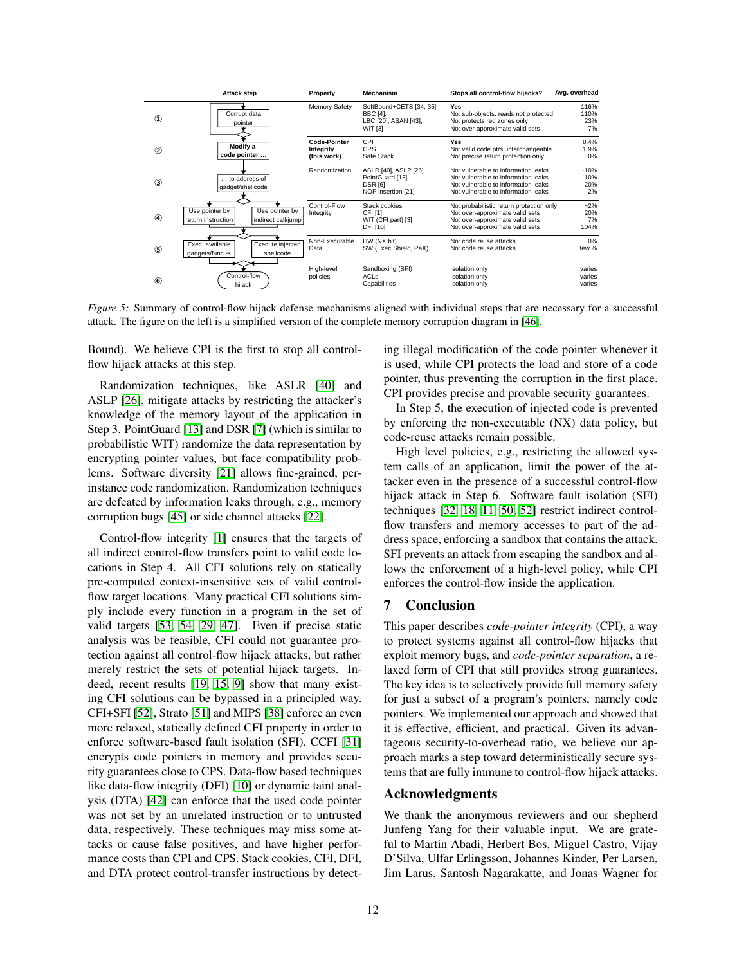<span id="page-11-1"></span>

|                             | <b>Attack step</b>                                                           | Property                                 | <b>Mechanism</b>                                                         | Stops all control-flow hijacks?                                                                                                                          | Avg. overhead              |
|-----------------------------|------------------------------------------------------------------------------|------------------------------------------|--------------------------------------------------------------------------|----------------------------------------------------------------------------------------------------------------------------------------------------------|----------------------------|
| $^{\textcircled{\tiny{1}}}$ | Corrupt data<br>pointer                                                      | Memory Safety                            | SoftBound+CETS [34, 35]<br>BBC [4],<br>LBC [20], ASAN [43],<br>WIT [3]   | Yes<br>No: sub-objects, reads not protected<br>No: protects red zones only<br>No: over-approximate valid sets                                            | 116%<br>110%<br>23%<br>7%  |
| $\circled{2}$               | Modify a<br>code pointer                                                     | Code-Pointer<br>Integrity<br>(this work) | CPI<br><b>CPS</b><br>Safe Stack                                          | Yes<br>No: valid code ptrs. interchangeable<br>No: precise return protection only                                                                        | 8.4%<br>1.9%<br>$-0\%$     |
| ك                           | to address of<br>gadget/shellcode                                            | Randomization                            | ASLR [40], ASLP [26]<br>PointGuard [13]<br>DSR [6]<br>NOP insertion [21] | No: vulnerable to information leaks<br>No: vulnerable to information leaks<br>No: vulnerable to information leaks<br>No: vulnerable to information leaks | $-10%$<br>10%<br>20%<br>2% |
| 4                           | Use pointer by<br>Use pointer by<br>return instruction<br>indirect call/jump | Control-Flow<br>Integrity                | Stack cookies<br>CFI [1]<br>WIT (CFI part) [3]<br>DFI [10]               | No: probabilistic return protection only<br>No: over-approximate valid sets<br>No: over-approximate valid sets<br>No: over-approximate valid sets        | $-2%$<br>20%<br>7%<br>104% |
| $\circledS$                 | Exec. available<br>Execute injected<br>gadgets/func.-s<br>shellcode          | Non-Executable<br>Data                   | HW (NX bit)<br>SW (Exec Shield, PaX)                                     | No: code reuse attacks<br>No: code reuse attacks                                                                                                         | 0%<br>few %                |
| $\circledast$               | Control-flow<br>hijack                                                       | High-level<br>policies                   | Sandboxing (SFI)<br><b>ACLS</b><br>Capabilities                          | <b>Isolation only</b><br><b>Isolation only</b><br><b>Isolation only</b>                                                                                  | varies<br>varies<br>varies |

*Figure 5:* Summary of control-flow hijack defense mechanisms aligned with individual steps that are necessary for a successful attack. The figure on the left is a simplified version of the complete memory corruption diagram in [\[46\]](#page-15-5).

Bound). We believe CPI is the first to stop all controlflow hijack attacks at this step.

Randomization techniques, like ASLR [\[40\]](#page-15-3) and ASLP [\[26\]](#page-15-19), mitigate attacks by restricting the attacker's knowledge of the memory layout of the application in Step 3. PointGuard [\[13\]](#page-14-7) and DSR [\[7\]](#page-14-21) (which is similar to probabilistic WIT) randomize the data representation by encrypting pointer values, but face compatibility problems. Software diversity [\[21\]](#page-14-22) allows fine-grained, perinstance code randomization. Randomization techniques are defeated by information leaks through, e.g., memory corruption bugs [\[45\]](#page-15-4) or side channel attacks [\[22\]](#page-14-5).

Control-flow integrity [\[1\]](#page-14-10) ensures that the targets of all indirect control-flow transfers point to valid code locations in Step 4. All CFI solutions rely on statically pre-computed context-insensitive sets of valid controlflow target locations. Many practical CFI solutions simply include every function in a program in the set of valid targets [\[53,](#page-16-1) [54,](#page-16-0) [29,](#page-15-11) [47\]](#page-15-20). Even if precise static analysis was be feasible, CFI could not guarantee protection against all control-flow hijack attacks, but rather merely restrict the sets of potential hijack targets. Indeed, recent results [\[19,](#page-14-0) [15,](#page-14-1) [9\]](#page-14-2) show that many existing CFI solutions can be bypassed in a principled way. CFI+SFI [\[52\]](#page-16-3), Strato [\[51\]](#page-16-4) and MIPS [\[38\]](#page-15-10) enforce an even more relaxed, statically defined CFI property in order to enforce software-based fault isolation (SFI). CCFI [\[31\]](#page-15-21) encrypts code pointers in memory and provides security guarantees close to CPS. Data-flow based techniques like data-flow integrity (DFI) [\[10\]](#page-14-23) or dynamic taint analysis (DTA) [\[42\]](#page-15-22) can enforce that the used code pointer was not set by an unrelated instruction or to untrusted data, respectively. These techniques may miss some attacks or cause false positives, and have higher performance costs than CPI and CPS. Stack cookies, CFI, DFI, and DTA protect control-transfer instructions by detecting illegal modification of the code pointer whenever it is used, while CPI protects the load and store of a code pointer, thus preventing the corruption in the first place. CPI provides precise and provable security guarantees.

In Step 5, the execution of injected code is prevented by enforcing the non-executable (NX) data policy, but code-reuse attacks remain possible.

High level policies, e.g., restricting the allowed system calls of an application, limit the power of the attacker even in the presence of a successful control-flow hijack attack in Step 6. Software fault isolation (SFI) techniques [\[32,](#page-15-23) [18,](#page-14-15) [11,](#page-14-12) [50,](#page-16-5) [52\]](#page-16-3) restrict indirect controlflow transfers and memory accesses to part of the address space, enforcing a sandbox that contains the attack. SFI prevents an attack from escaping the sandbox and allows the enforcement of a high-level policy, while CPI enforces the control-flow inside the application.

## <span id="page-11-0"></span>7 Conclusion

This paper describes *code-pointer integrity* (CPI), a way to protect systems against all control-flow hijacks that exploit memory bugs, and *code-pointer separation*, a relaxed form of CPI that still provides strong guarantees. The key idea is to selectively provide full memory safety for just a subset of a program's pointers, namely code pointers. We implemented our approach and showed that it is effective, efficient, and practical. Given its advantageous security-to-overhead ratio, we believe our approach marks a step toward deterministically secure systems that are fully immune to control-flow hijack attacks.

#### Acknowledgments

We thank the anonymous reviewers and our shepherd Junfeng Yang for their valuable input. We are grateful to Martin Abadi, Herbert Bos, Miguel Castro, Vijay D'Silva, Ulfar Erlingsson, Johannes Kinder, Per Larsen, Jim Larus, Santosh Nagarakatte, and Jonas Wagner for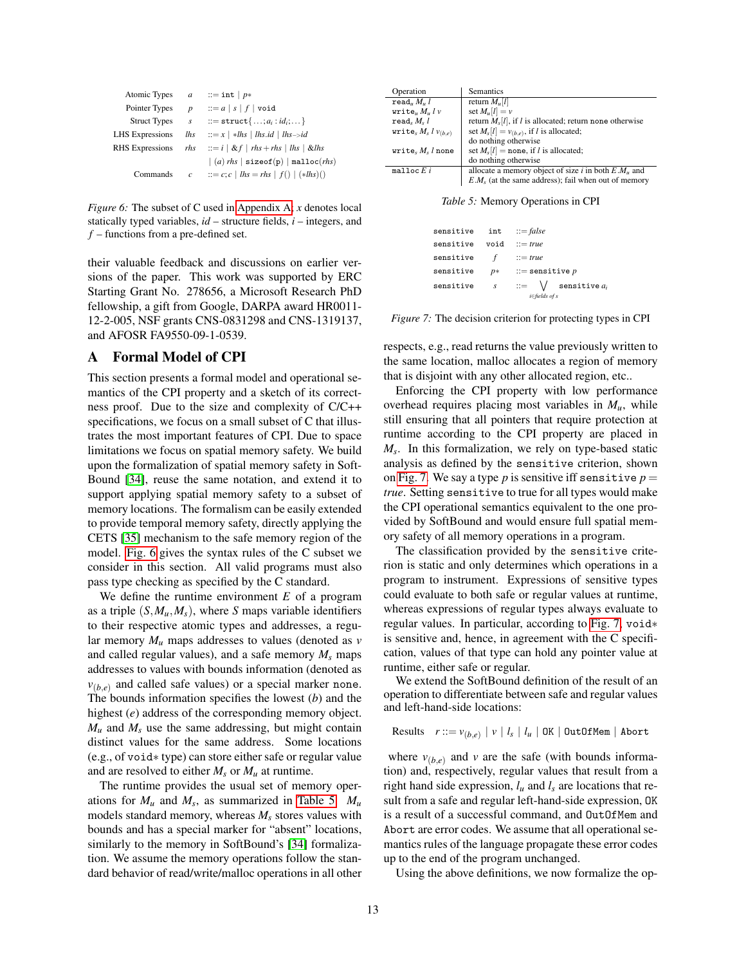<span id="page-12-1"></span>

| Atomic Types <i>a</i>  |                  | $ ::= int   p*$                                                        |
|------------------------|------------------|------------------------------------------------------------------------|
| Pointer Types          | $\boldsymbol{D}$ | $ ::= a   s   f   void$                                                |
| <b>Struct Types</b>    |                  | $s$ : $=$ struct $\{ \ldots; a_i : id_i; \ldots \}$                    |
| LHS Expressions        | $l$ <i>hs</i>    | $\therefore$ $x \mid$ * <i>lhs</i>   <i>lhs.id</i>   <i>lhs-&gt;id</i> |
| <b>RHS</b> Expressions | rhs              | $ ::= i   \&f   \r{rhs + rhs}   \r{lhs}   \&\r{lhs}$                   |
|                        |                  | $ (a)$ rhs $ $ sizeof(p) $ $ malloc(rhs)                               |
| Commands               | $\overline{c}$   | $::= c; c \mid lhs = rhs \mid f() \mid (*lhs)()$                       |

*Figure 6:* The subset of C used in [Appendix A;](#page-12-0) *x* denotes local statically typed variables, *id* – structure fields, *i* – integers, and *f* – functions from a pre-defined set.

their valuable feedback and discussions on earlier versions of the paper. This work was supported by ERC Starting Grant No. 278656, a Microsoft Research PhD fellowship, a gift from Google, DARPA award HR0011- 12-2-005, NSF grants CNS-0831298 and CNS-1319137, and AFOSR FA9550-09-1-0539.

## <span id="page-12-0"></span>A Formal Model of CPI

This section presents a formal model and operational semantics of the CPI property and a sketch of its correctness proof. Due to the size and complexity of C/C++ specifications, we focus on a small subset of C that illustrates the most important features of CPI. Due to space limitations we focus on spatial memory safety. We build upon the formalization of spatial memory safety in Soft-Bound [\[34\]](#page-15-8), reuse the same notation, and extend it to support applying spatial memory safety to a subset of memory locations. The formalism can be easily extended to provide temporal memory safety, directly applying the CETS [\[35\]](#page-15-13) mechanism to the safe memory region of the model. [Fig. 6](#page-12-1) gives the syntax rules of the C subset we consider in this section. All valid programs must also pass type checking as specified by the C standard.

We define the runtime environment *E* of a program as a triple  $(S, M_u, M_s)$ , where *S* maps variable identifiers to their respective atomic types and addresses, a regular memory *M<sup>u</sup>* maps addresses to values (denoted as *v* and called regular values), and a safe memory *M<sup>s</sup>* maps addresses to values with bounds information (denoted as  $v_{(b,e)}$  and called safe values) or a special marker none. The bounds information specifies the lowest (*b*) and the highest (*e*) address of the corresponding memory object.  $M_u$  and  $M_s$  use the same addressing, but might contain distinct values for the same address. Some locations (e.g., of void∗ type) can store either safe or regular value and are resolved to either  $M_s$  or  $M_u$  at runtime.

The runtime provides the usual set of memory operations for  $M_u$  and  $M_s$ , as summarized in [Table 5.](#page-12-2)  $M_u$ models standard memory, whereas *M<sup>s</sup>* stores values with bounds and has a special marker for "absent" locations, similarly to the memory in SoftBound's [\[34\]](#page-15-8) formalization. We assume the memory operations follow the standard behavior of read/write/malloc operations in all other

<span id="page-12-2"></span>

| Operation                              | Semantics                                                  |
|----------------------------------------|------------------------------------------------------------|
| read <sub><i>u</i></sub> $M_u$ l       | return $M_u[l]$                                            |
| write <sub>u</sub> $M_u$ l v           | set $M_u[l] = v$                                           |
| read, $M_s l$                          | return $M_s[l]$ , if l is allocated; return none otherwise |
| write <sub>s</sub> $M_s$ l $v_{(b,e)}$ | set $M_s[l] = v_{(b,e)}$ , if l is allocated;              |
|                                        | do nothing otherwise                                       |
| write, $Ms$ <i>l</i> none              | set $M_s[l] =$ none, if l is allocated;                    |
|                                        | do nothing otherwise                                       |
| malloc $E$ i                           | allocate a memory object of size i in both $E.M_u$ and     |
|                                        | $E.Ms$ (at the same address); fail when out of memory      |

*Table 5:* Memory Operations in CPI

<span id="page-12-3"></span>sensitive int ::= *false* sensitive void ::= *true* sensitive *f* ::= *true* sensitive *p*∗ ::= sensitive *p*  $s$ ensitive  $\bigvee$  sensitive  $a_i$ *i*∈*fields of* a

*Figure 7:* The decision criterion for protecting types in CPI

respects, e.g., read returns the value previously written to the same location, malloc allocates a region of memory that is disjoint with any other allocated region, etc..

Enforcing the CPI property with low performance overhead requires placing most variables in *Mu*, while still ensuring that all pointers that require protection at runtime according to the CPI property are placed in *M<sup>s</sup>* . In this formalization, we rely on type-based static analysis as defined by the sensitive criterion, shown on [Fig. 7.](#page-12-3) We say a type  $p$  is sensitive iff sensitive  $p =$ *true*. Setting sensitive to true for all types would make the CPI operational semantics equivalent to the one provided by SoftBound and would ensure full spatial memory safety of all memory operations in a program.

The classification provided by the sensitive criterion is static and only determines which operations in a program to instrument. Expressions of sensitive types could evaluate to both safe or regular values at runtime, whereas expressions of regular types always evaluate to regular values. In particular, according to [Fig. 7,](#page-12-3) void∗ is sensitive and, hence, in agreement with the C specification, values of that type can hold any pointer value at runtime, either safe or regular.

We extend the SoftBound definition of the result of an operation to differentiate between safe and regular values and left-hand-side locations:

 $\textsf{Results} \quad r ::= \mathit{v}_{(b,e)} \mid \mathit{v} \mid l_s \mid l_u \mid \textsf{OK} \mid \textsf{OutOfMem} \mid \textsf{Abort}$ 

where  $v_{(b,e)}$  and *v* are the safe (with bounds information) and, respectively, regular values that result from a right hand side expression,  $l_u$  and  $l_s$  are locations that result from a safe and regular left-hand-side expression, OK is a result of a successful command, and OutOfMem and Abort are error codes. We assume that all operational semantics rules of the language propagate these error codes up to the end of the program unchanged.

Using the above definitions, we now formalize the op-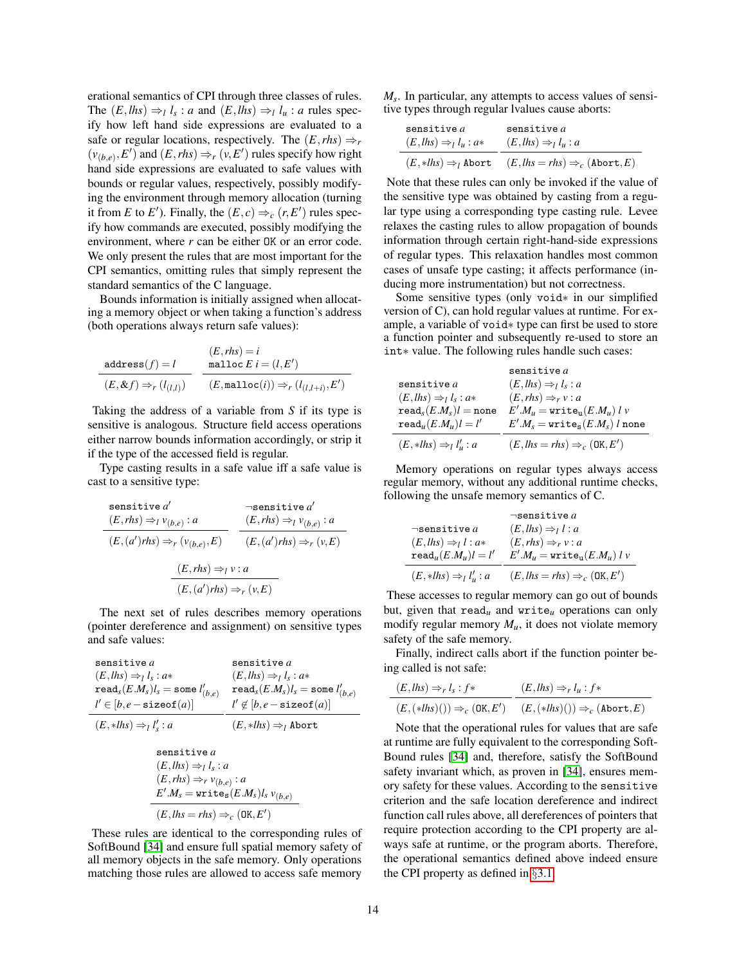erational semantics of CPI through three classes of rules. The  $(E, lhs) \Rightarrow_l l_s : a$  and  $(E, lhs) \Rightarrow_l l_u : a$  rules specify how left hand side expressions are evaluated to a safe or regular locations, respectively. The  $(E, rhs) \Rightarrow r$  $(v_{(b,e)}, E')$  and  $(E, rhs) \Rightarrow r(v, E')$  rules specify how right hand side expressions are evaluated to safe values with bounds or regular values, respectively, possibly modifying the environment through memory allocation (turning it from *E* to *E'*). Finally, the  $(E, c) \Rightarrow_c (r, E')$  rules specify how commands are executed, possibly modifying the environment, where *r* can be either OK or an error code. We only present the rules that are most important for the CPI semantics, omitting rules that simply represent the standard semantics of the C language.

Bounds information is initially assigned when allocating a memory object or when taking a function's address (both operations always return safe values):

$$
\overbrace{\text{address}(f) = l}_{(E, \& f) \Rightarrow r} \quad \overbrace{\text{malloc } E \ i = (l, E') }^{(E, \, \text{rhs}) = i} \quad \overbrace{\text{malloc } E \ i = (l, E') }^{(\text{malloc } E \ i = (l, E')}
$$

Taking the address of a variable from *S* if its type is sensitive is analogous. Structure field access operations either narrow bounds information accordingly, or strip it if the type of the accessed field is regular.

Type casting results in a safe value iff a safe value is cast to a sensitive type:

$$
\begin{array}{ll}\n\text{sensitive } d' & \neg \text{sensitive } d' \\
(E, rhs) \Rightarrow_l v_{(b,e)} : a & (E, rhs) \Rightarrow_l v_{(b,e)} : a \\
\hline\n(E, (a')rhs) \Rightarrow_r (v_{(b,e)}, E) & (E, (a')rhs) \Rightarrow_r (v, E) \\
\hline\n&\quad (E, (n')rhs) \Rightarrow_l v : a \\
\hline\n(E, (a')rhs) \Rightarrow_r (v, E)\n\end{array}
$$

The next set of rules describes memory operations (pointer dereference and assignment) on sensitive types and safe values:

$$
\begin{array}{ll}\n\text{sensitive } a & \text{sensitive } a \\
(E, lhs) \Rightarrow_l l_s : a * & (E, lhs) \Rightarrow_l l_s : a * \\
\text{read}_s(E.M_s)l_s = \text{some } l'_{(b,e)} & \text{read}_s(E.M_s)l_s = \text{some } l'_{(b,e)} \\
\frac{l' \in [b, e - \text{sizeof}(a)]}{(E, *lhs) \Rightarrow_l l'_s : a} & \frac{l' \notin [b, e - \text{sizeof}(a)]}{(E, *lhs) \Rightarrow_l \text{Abort}} \\
& \text{sensitive } a \\
(E, lhs) \Rightarrow_l l_s : a \\
(E, rhs) \Rightarrow_l v_{(b,e)} : a \\
E'M_s = \text{write}_s(E.M_s)l_s v_{(b,e)} \\
& \frac{E'M_s = \text{write}_s(E.M_s)l_s v_{(b,e)}}{(E, lhs = rhs) \Rightarrow_c (0K, E')\n\end{array}
$$

These rules are identical to the corresponding rules of SoftBound [\[34\]](#page-15-8) and ensure full spatial memory safety of all memory objects in the safe memory. Only operations matching those rules are allowed to access safe memory

*M<sup>s</sup>* . In particular, any attempts to access values of sensitive types through regular lvalues cause aborts:

| sensitive $a$                     | sensitive $a$                                                             |
|-----------------------------------|---------------------------------------------------------------------------|
| $(E, lhs) \Rightarrow_l l_u : a*$ | $(E, lhs) \Rightarrow_l l_u : a$                                          |
|                                   | $(E, *lhs) \Rightarrow_l$ Abort $(E, lhs = rhs) \Rightarrow_c (About, E)$ |

Note that these rules can only be invoked if the value of the sensitive type was obtained by casting from a regular type using a corresponding type casting rule. Levee relaxes the casting rules to allow propagation of bounds information through certain right-hand-side expressions of regular types. This relaxation handles most common cases of unsafe type casting; it affects performance (inducing more instrumentation) but not correctness.

Some sensitive types (only void∗ in our simplified version of C), can hold regular values at runtime. For example, a variable of void∗ type can first be used to store a function pointer and subsequently re-used to store an int∗ value. The following rules handle such cases:

|                                                                 | sensitive $a$                           |
|-----------------------------------------------------------------|-----------------------------------------|
| sensitive $a$                                                   | $(E, lhs) \Rightarrow_l l_s : a$        |
| $(E, lhs) \Rightarrow_l l_s : a*$                               | $(E,rhs) \Rightarrow_r v : a$           |
| $\texttt{read}_{\texttt{s}}(E.M_{\texttt{s}})l = \texttt{none}$ | $E'.M_u = \text{write}_u(E.M_u)$ l v    |
| $\texttt{read}_{u}(E.M_{u})l = l'$                              | $E'.M_s = \text{write}_s(E.M_s) l$ none |
| $(E, *llns) \Rightarrow_l l'_u : a$                             | $(E, lhs = rhs) \Rightarrow_c (OK, E')$ |

Memory operations on regular types always access regular memory, without any additional runtime checks, following the unsafe memory semantics of C.

|                                    | $\neg$ sensitive a                           |
|------------------------------------|----------------------------------------------|
| $\neg$ sensitive a                 | $(E, lhs) \Rightarrow_l l : a$               |
| $(E, lhs) \Rightarrow_l l : a*$    | $(E,rhs) \Rightarrow_r v : a$                |
| $\texttt{read}_{u}(E.M_{u})l = l'$ | $E^{\prime}.M_u = \text{write}_u(E.M_u)$ l v |
| $(E, *lhs) \Rightarrow_l l'_u : a$ | $(E, lhs = rhs) \Rightarrow_c (OK, E')$      |

These accesses to regular memory can go out of bounds but, given that read*<sup>u</sup>* and write*<sup>u</sup>* operations can only modify regular memory  $M_u$ , it does not violate memory safety of the safe memory.

Finally, indirect calls abort if the function pointer being called is not safe:

$$
\frac{(E, lhs) \Rightarrow r l_s : f *}{(E, (*lhs)()) \Rightarrow_c (\text{OK}, E')}\n \frac{(E, lhs) \Rightarrow r l_u : f *}{(E, (*lhs)()) \Rightarrow_c (\text{Abort}, E)}
$$

Note that the operational rules for values that are safe at runtime are fully equivalent to the corresponding Soft-Bound rules [\[34\]](#page-15-8) and, therefore, satisfy the SoftBound safety invariant which, as proven in [\[34\]](#page-15-8), ensures memory safety for these values. According to the sensitive criterion and the safe location dereference and indirect function call rules above, all dereferences of pointers that require protection according to the CPI property are always safe at runtime, or the program aborts. Therefore, the operational semantics defined above indeed ensure the CPI property as defined in §[3.1.](#page-2-0)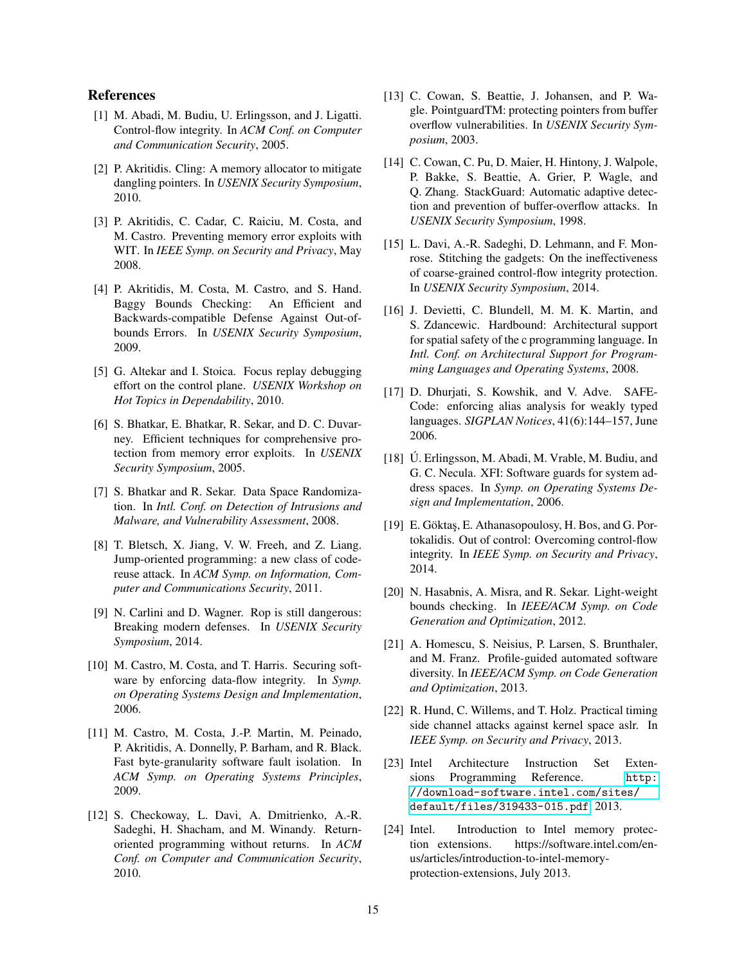## References

- <span id="page-14-10"></span>[1] M. Abadi, M. Budiu, U. Erlingsson, and J. Ligatti. Control-flow integrity. In *ACM Conf. on Computer and Communication Security*, 2005.
- <span id="page-14-20"></span>[2] P. Akritidis. Cling: A memory allocator to mitigate dangling pointers. In *USENIX Security Symposium*, 2010.
- <span id="page-14-8"></span>[3] P. Akritidis, C. Cadar, C. Raiciu, M. Costa, and M. Castro. Preventing memory error exploits with WIT. In *IEEE Symp. on Security and Privacy*, May 2008.
- <span id="page-14-18"></span>[4] P. Akritidis, M. Costa, M. Castro, and S. Hand. Baggy Bounds Checking: An Efficient and Backwards-compatible Defense Against Out-ofbounds Errors. In *USENIX Security Symposium*, 2009.
- <span id="page-14-11"></span>[5] G. Altekar and I. Stoica. Focus replay debugging effort on the control plane. *USENIX Workshop on Hot Topics in Dependability*, 2010.
- <span id="page-14-14"></span>[6] S. Bhatkar, E. Bhatkar, R. Sekar, and D. C. Duvarney. Efficient techniques for comprehensive protection from memory error exploits. In *USENIX Security Symposium*, 2005.
- <span id="page-14-21"></span>[7] S. Bhatkar and R. Sekar. Data Space Randomization. In *Intl. Conf. on Detection of Intrusions and Malware, and Vulnerability Assessment*, 2008.
- <span id="page-14-4"></span>[8] T. Bletsch, X. Jiang, V. W. Freeh, and Z. Liang. Jump-oriented programming: a new class of codereuse attack. In *ACM Symp. on Information, Computer and Communications Security*, 2011.
- <span id="page-14-2"></span>[9] N. Carlini and D. Wagner. Rop is still dangerous: Breaking modern defenses. In *USENIX Security Symposium*, 2014.
- <span id="page-14-23"></span>[10] M. Castro, M. Costa, and T. Harris. Securing software by enforcing data-flow integrity. In *Symp. on Operating Systems Design and Implementation*, 2006.
- <span id="page-14-12"></span>[11] M. Castro, M. Costa, J.-P. Martin, M. Peinado, P. Akritidis, A. Donnelly, P. Barham, and R. Black. Fast byte-granularity software fault isolation. In *ACM Symp. on Operating Systems Principles*, 2009.
- <span id="page-14-3"></span>[12] S. Checkoway, L. Davi, A. Dmitrienko, A.-R. Sadeghi, H. Shacham, and M. Winandy. Returnoriented programming without returns. In *ACM Conf. on Computer and Communication Security*, 2010.
- <span id="page-14-7"></span>[13] C. Cowan, S. Beattie, J. Johansen, and P. Wagle. PointguardTM: protecting pointers from buffer overflow vulnerabilities. In *USENIX Security Symposium*, 2003.
- <span id="page-14-6"></span>[14] C. Cowan, C. Pu, D. Maier, H. Hintony, J. Walpole, P. Bakke, S. Beattie, A. Grier, P. Wagle, and Q. Zhang. StackGuard: Automatic adaptive detection and prevention of buffer-overflow attacks. In *USENIX Security Symposium*, 1998.
- <span id="page-14-1"></span>[15] L. Davi, A.-R. Sadeghi, D. Lehmann, and F. Monrose. Stitching the gadgets: On the ineffectiveness of coarse-grained control-flow integrity protection. In *USENIX Security Symposium*, 2014.
- <span id="page-14-17"></span>[16] J. Devietti, C. Blundell, M. M. K. Martin, and S. Zdancewic. Hardbound: Architectural support for spatial safety of the c programming language. In *Intl. Conf. on Architectural Support for Programming Languages and Operating Systems*, 2008.
- <span id="page-14-9"></span>[17] D. Dhurjati, S. Kowshik, and V. Adve. SAFE-Code: enforcing alias analysis for weakly typed languages. *SIGPLAN Notices*, 41(6):144–157, June 2006.
- <span id="page-14-15"></span>[18] Ú. Erlingsson, M. Abadi, M. Vrable, M. Budiu, and G. C. Necula. XFI: Software guards for system address spaces. In *Symp. on Operating Systems Design and Implementation*, 2006.
- <span id="page-14-0"></span>[19] E. Göktaş, E. Athanasopoulosy, H. Bos, and G. Portokalidis. Out of control: Overcoming control-flow integrity. In *IEEE Symp. on Security and Privacy*, 2014.
- <span id="page-14-19"></span>[20] N. Hasabnis, A. Misra, and R. Sekar. Light-weight bounds checking. In *IEEE/ACM Symp. on Code Generation and Optimization*, 2012.
- <span id="page-14-22"></span>[21] A. Homescu, S. Neisius, P. Larsen, S. Brunthaler, and M. Franz. Profile-guided automated software diversity. In *IEEE/ACM Symp. on Code Generation and Optimization*, 2013.
- <span id="page-14-5"></span>[22] R. Hund, C. Willems, and T. Holz. Practical timing side channel attacks against kernel space aslr. In *IEEE Symp. on Security and Privacy*, 2013.
- <span id="page-14-16"></span>[23] Intel Architecture Instruction Set Extensions Programming Reference. [http:](http://download-software.intel.com/sites/default/files/319433-015.pdf) [//download-software.intel.com/sites/](http://download-software.intel.com/sites/default/files/319433-015.pdf) [default/files/319433-015.pdf](http://download-software.intel.com/sites/default/files/319433-015.pdf), 2013.
- <span id="page-14-13"></span>[24] Intel. Introduction to Intel memory protection extensions. https://software.intel.com/enus/articles/introduction-to-intel-memoryprotection-extensions, July 2013.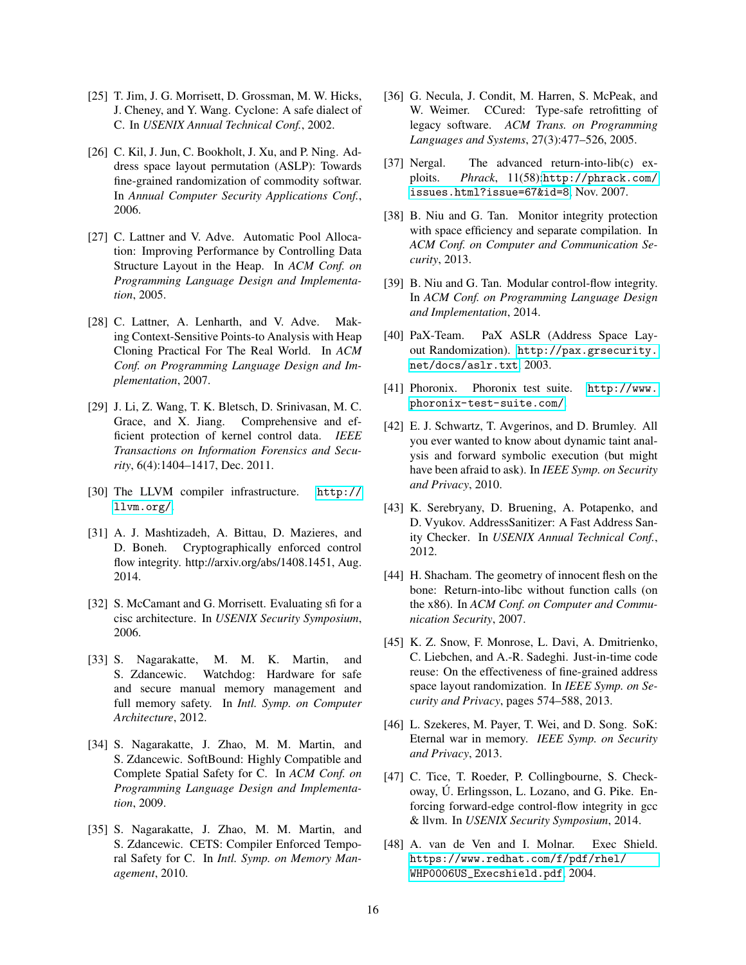- <span id="page-15-6"></span>[25] T. Jim, J. G. Morrisett, D. Grossman, M. W. Hicks, J. Cheney, and Y. Wang. Cyclone: A safe dialect of C. In *USENIX Annual Technical Conf.*, 2002.
- <span id="page-15-19"></span>[26] C. Kil, J. Jun, C. Bookholt, J. Xu, and P. Ning. Address space layout permutation (ASLP): Towards fine-grained randomization of commodity softwar. In *Annual Computer Security Applications Conf.*, 2006.
- <span id="page-15-14"></span>[27] C. Lattner and V. Adve. Automatic Pool Allocation: Improving Performance by Controlling Data Structure Layout in the Heap. In *ACM Conf. on Programming Language Design and Implementation*, 2005.
- <span id="page-15-15"></span>[28] C. Lattner, A. Lenharth, and V. Adve. Making Context-Sensitive Points-to Analysis with Heap Cloning Practical For The Real World. In *ACM Conf. on Programming Language Design and Implementation*, 2007.
- <span id="page-15-11"></span>[29] J. Li, Z. Wang, T. K. Bletsch, D. Srinivasan, M. C. Grace, and X. Jiang. Comprehensive and efficient protection of kernel control data. *IEEE Transactions on Information Forensics and Security*, 6(4):1404–1417, Dec. 2011.
- <span id="page-15-16"></span>[30] The LLVM compiler infrastructure. [http://](http://llvm.org/) [llvm.org/](http://llvm.org/).
- <span id="page-15-21"></span>[31] A. J. Mashtizadeh, A. Bittau, D. Mazieres, and D. Boneh. Cryptographically enforced control flow integrity. http://arxiv.org/abs/1408.1451, Aug. 2014.
- <span id="page-15-23"></span>[32] S. McCamant and G. Morrisett. Evaluating sfi for a cisc architecture. In *USENIX Security Symposium*, 2006.
- <span id="page-15-17"></span>[33] S. Nagarakatte, M. M. K. Martin, and S. Zdancewic. Watchdog: Hardware for safe and secure manual memory management and full memory safety. In *Intl. Symp. on Computer Architecture*, 2012.
- <span id="page-15-8"></span>[34] S. Nagarakatte, J. Zhao, M. M. Martin, and S. Zdancewic. SoftBound: Highly Compatible and Complete Spatial Safety for C. In *ACM Conf. on Programming Language Design and Implementation*, 2009.
- <span id="page-15-13"></span>[35] S. Nagarakatte, J. Zhao, M. M. Martin, and S. Zdancewic. CETS: Compiler Enforced Temporal Safety for C. In *Intl. Symp. on Memory Management*, 2010.
- <span id="page-15-7"></span>[36] G. Necula, J. Condit, M. Harren, S. McPeak, and W. Weimer. CCured: Type-safe retrofitting of legacy software. *ACM Trans. on Programming Languages and Systems*, 27(3):477–526, 2005.
- <span id="page-15-1"></span>[37] Nergal. The advanced return-into-lib(c) exploits. *Phrack*, 11(58):[http://phrack.com/](http://phrack.com/issues.html?issue=67&id=8) [issues.html?issue=67&id=8](http://phrack.com/issues.html?issue=67&id=8), Nov. 2007.
- <span id="page-15-10"></span>[38] B. Niu and G. Tan. Monitor integrity protection with space efficiency and separate compilation. In *ACM Conf. on Computer and Communication Security*, 2013.
- <span id="page-15-12"></span>[39] B. Niu and G. Tan. Modular control-flow integrity. In *ACM Conf. on Programming Language Design and Implementation*, 2014.
- <span id="page-15-3"></span>[40] PaX-Team. PaX ASLR (Address Space Layout Randomization). [http://pax.grsecurity.](http://pax.grsecurity.net/docs/aslr.txt) [net/docs/aslr.txt](http://pax.grsecurity.net/docs/aslr.txt), 2003.
- <span id="page-15-18"></span>[41] Phoronix. Phoronix test suite. [http://www.](http://www.phoronix-test-suite.com/) [phoronix-test-suite.com/](http://www.phoronix-test-suite.com/).
- <span id="page-15-22"></span>[42] E. J. Schwartz, T. Avgerinos, and D. Brumley. All you ever wanted to know about dynamic taint analysis and forward symbolic execution (but might have been afraid to ask). In *IEEE Symp. on Security and Privacy*, 2010.
- <span id="page-15-9"></span>[43] K. Serebryany, D. Bruening, A. Potapenko, and D. Vyukov. AddressSanitizer: A Fast Address Sanity Checker. In *USENIX Annual Technical Conf.*, 2012.
- <span id="page-15-0"></span>[44] H. Shacham. The geometry of innocent flesh on the bone: Return-into-libc without function calls (on the x86). In *ACM Conf. on Computer and Communication Security*, 2007.
- <span id="page-15-4"></span>[45] K. Z. Snow, F. Monrose, L. Davi, A. Dmitrienko, C. Liebchen, and A.-R. Sadeghi. Just-in-time code reuse: On the effectiveness of fine-grained address space layout randomization. In *IEEE Symp. on Security and Privacy*, pages 574–588, 2013.
- <span id="page-15-5"></span>[46] L. Szekeres, M. Payer, T. Wei, and D. Song. SoK: Eternal war in memory. *IEEE Symp. on Security and Privacy*, 2013.
- <span id="page-15-20"></span>[47] C. Tice, T. Roeder, P. Collingbourne, S. Checkoway, U. Erlingsson, L. Lozano, and G. Pike. Enforcing forward-edge control-flow integrity in gcc & llvm. In *USENIX Security Symposium*, 2014.
- <span id="page-15-2"></span>[48] A. van de Ven and I. Molnar. Exec Shield. [https://www.redhat.com/f/pdf/rhel/](https://www.redhat.com/f/pdf/rhel/WHP0006US_Execshield.pdf) [WHP0006US\\_Execshield.pdf](https://www.redhat.com/f/pdf/rhel/WHP0006US_Execshield.pdf), 2004.